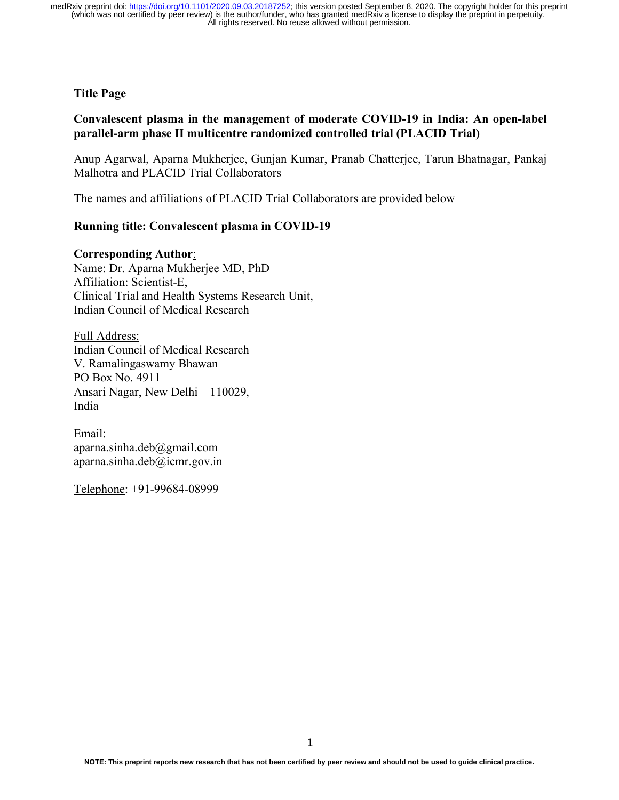#### **Title Page**

## **Convalescent plasma in the management of moderate COVID-19 in India: An open-label parallel-arm phase II multicentre randomized controlled trial (PLACID Trial)**

Anup Agarwal, Aparna Mukherjee, Gunjan Kumar, Pranab Chatterjee, Tarun Bhatnagar, Pankaj Malhotra and PLACID Trial Collaborators

The names and affiliations of PLACID Trial Collaborators are provided below

## **Running title: Convalescent plasma in COVID-19**

#### **Corresponding Author**:

Name: Dr. Aparna Mukherjee MD, PhD Affiliation: Scientist-E, Clinical Trial and Health Systems Research Unit, Indian Council of Medical Research

Full Address: Indian Council of Medical Research V. Ramalingaswamy Bhawan PO Box No. 4911 Ansari Nagar, New Delhi – 110029, India

Email: aparna.sinha.deb@gmail.com aparna.sinha.deb@icmr.gov.in

Telephone: +91-99684-08999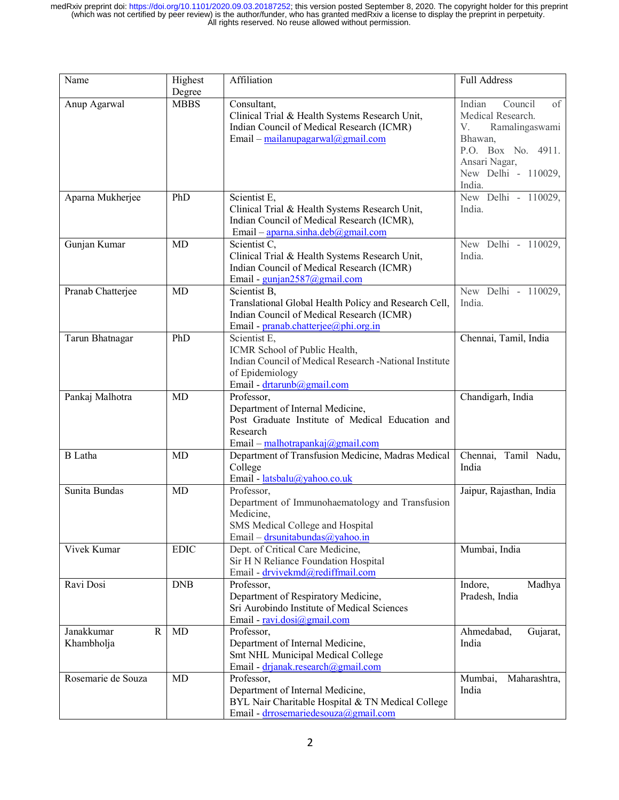| Name                                    | Highest<br>Degree | Affiliation                                                                                                                                                | <b>Full Address</b>                                                                                                                                     |
|-----------------------------------------|-------------------|------------------------------------------------------------------------------------------------------------------------------------------------------------|---------------------------------------------------------------------------------------------------------------------------------------------------------|
| Anup Agarwal                            | <b>MBBS</b>       | Consultant,<br>Clinical Trial & Health Systems Research Unit,<br>Indian Council of Medical Research (ICMR)<br>Email – mailanupagarwal@gmail.com            | Indian<br>Council<br>of<br>Medical Research.<br>Ramalingaswami<br>V.<br>Bhawan,<br>P.O. Box No. 4911.<br>Ansari Nagar,<br>New Delhi - 110029,<br>India. |
| Aparna Mukherjee                        | PhD               | Scientist E,<br>Clinical Trial & Health Systems Research Unit,<br>Indian Council of Medical Research (ICMR),<br>Email - aparna.sinha.deb@gmail.com         | New Delhi - 110029,<br>India.                                                                                                                           |
| Gunjan Kumar                            | MD                | Scientist C,<br>Clinical Trial & Health Systems Research Unit,<br>Indian Council of Medical Research (ICMR)<br>Email - gunjan2587@gmail.com                | New Delhi - 110029,<br>India.                                                                                                                           |
| Pranab Chatterjee                       | MD                | Scientist B,<br>Translational Global Health Policy and Research Cell,<br>Indian Council of Medical Research (ICMR)<br>Email - pranab.chatterjee@phi.org.in | New Delhi - 110029,<br>India.                                                                                                                           |
| Tarun Bhatnagar                         | PhD               | Scientist E,<br>ICMR School of Public Health,<br>Indian Council of Medical Research -National Institute<br>of Epidemiology<br>Email - drtarunb@gmail.com   | Chennai, Tamil, India                                                                                                                                   |
| Pankaj Malhotra                         | MD                | Professor,<br>Department of Internal Medicine,<br>Post Graduate Institute of Medical Education and<br>Research<br>Email – malhotrapankaj@gmail.com         | Chandigarh, India                                                                                                                                       |
| <b>B</b> Latha                          | <b>MD</b>         | Department of Transfusion Medicine, Madras Medical<br>College<br>Email - latsbalu@yahoo.co.uk                                                              | Chennai, Tamil Nadu,<br>India                                                                                                                           |
| Sunita Bundas                           | MD                | Professor,<br>Department of Immunohaematology and Transfusion<br>Medicine,<br>SMS Medical College and Hospital<br>Email – drsunitabundas@yahoo.in          | Jaipur, Rajasthan, India                                                                                                                                |
| Vivek Kumar                             | <b>EDIC</b>       | Dept. of Critical Care Medicine,<br>Sir H N Reliance Foundation Hospital<br>Email - drvivekmd@rediffmail.com                                               | Mumbai, India                                                                                                                                           |
| Ravi Dosi                               | <b>DNB</b>        | Professor,<br>Department of Respiratory Medicine,<br>Sri Aurobindo Institute of Medical Sciences<br>Email - ravi.dosi@gmail.com                            | Indore,<br>Madhya<br>Pradesh, India                                                                                                                     |
| Janakkumar<br>$\mathbf R$<br>Khambholja | MD                | Professor,<br>Department of Internal Medicine,<br>Smt NHL Municipal Medical College<br>Email - drjanak.research@gmail.com                                  | Ahmedabad,<br>Gujarat,<br>India                                                                                                                         |
| Rosemarie de Souza                      | MD                | Professor,<br>Department of Internal Medicine,<br>BYL Nair Charitable Hospital & TN Medical College<br>Email - drrosemariedesouza@gmail.com                | Mumbai,<br>Maharashtra,<br>India                                                                                                                        |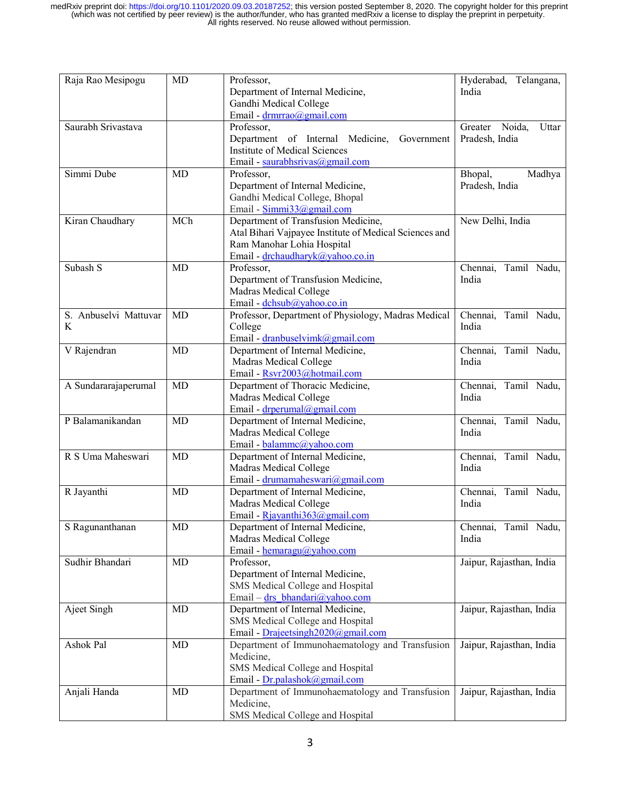| Raja Rao Mesipogu          | MD        | Professor,<br>Department of Internal Medicine,                                                                                                                  | Hyderabad, Telangana,<br>India            |
|----------------------------|-----------|-----------------------------------------------------------------------------------------------------------------------------------------------------------------|-------------------------------------------|
|                            |           | Gandhi Medical College<br>Email - drmrrao@gmail.com                                                                                                             |                                           |
| Saurabh Srivastava         |           | Professor,<br>Department of Internal Medicine,<br>Government<br><b>Institute of Medical Sciences</b><br>Email - saurabhsrivas@gmail.com                         | Greater Noida,<br>Uttar<br>Pradesh, India |
| Simmi Dube                 | <b>MD</b> | Professor,<br>Department of Internal Medicine,<br>Gandhi Medical College, Bhopal<br>Email - Simmi33@gmail.com                                                   | Bhopal,<br>Madhya<br>Pradesh, India       |
| Kiran Chaudhary            | MCh       | Department of Transfusion Medicine,<br>Atal Bihari Vajpayee Institute of Medical Sciences and<br>Ram Manohar Lohia Hospital<br>Email - drchaudharyk@yahoo.co.in | New Delhi, India                          |
| Subash S                   | <b>MD</b> | Professor,<br>Department of Transfusion Medicine,<br>Madras Medical College<br>Email - dchsub@yahoo.co.in                                                       | Chennai, Tamil Nadu,<br>India             |
| S. Anbuselvi Mattuvar<br>K | MD        | Professor, Department of Physiology, Madras Medical<br>College<br>Email - dranbuselvimk@gmail.com                                                               | Chennai, Tamil Nadu,<br>India             |
| V Rajendran                | MD        | Department of Internal Medicine,<br>Madras Medical College<br>Email - Rsvr2003@hotmail.com                                                                      | Chennai, Tamil Nadu,<br>India             |
| A Sundararajaperumal       | MD        | Department of Thoracic Medicine,<br>Madras Medical College<br>Email - drperumal@gmail.com                                                                       | Chennai, Tamil Nadu,<br>India             |
| P Balamanikandan           | MD        | Department of Internal Medicine,<br>Madras Medical College<br>Email - balammc@yahoo.com                                                                         | Chennai, Tamil Nadu,<br>India             |
| R S Uma Maheswari          | <b>MD</b> | Department of Internal Medicine,<br>Madras Medical College<br>Email - drumamaheswari@gmail.com                                                                  | Chennai, Tamil Nadu,<br>India             |
| R Jayanthi                 | MD        | Department of Internal Medicine,<br>Madras Medical College<br>Email - Rjayanthi $363$ @gmail.com                                                                | Chennai, Tamil Nadu,<br>India             |
| S Ragunanthanan            | MD        | Department of Internal Medicine,<br>Madras Medical College<br>Email - hemaragu@yahoo.com                                                                        | Chennai, Tamil Nadu,<br>India             |
| Sudhir Bhandari            | MD        | Professor,<br>Department of Internal Medicine,<br>SMS Medical College and Hospital<br>Email - $\frac{dr}{dr}$ bhandari@yahoo.com                                | Jaipur, Rajasthan, India                  |
| Ajeet Singh                | MD        | Department of Internal Medicine,<br>SMS Medical College and Hospital<br>Email - Drajeetsingh2020@gmail.com                                                      | Jaipur, Rajasthan, India                  |
| Ashok Pal                  | MD        | Department of Immunohaematology and Transfusion<br>Medicine,<br>SMS Medical College and Hospital<br>Email - Dr.palashok@gmail.com                               | Jaipur, Rajasthan, India                  |
| Anjali Handa               | MD        | Department of Immunohaematology and Transfusion<br>Medicine,<br>SMS Medical College and Hospital                                                                | Jaipur, Rajasthan, India                  |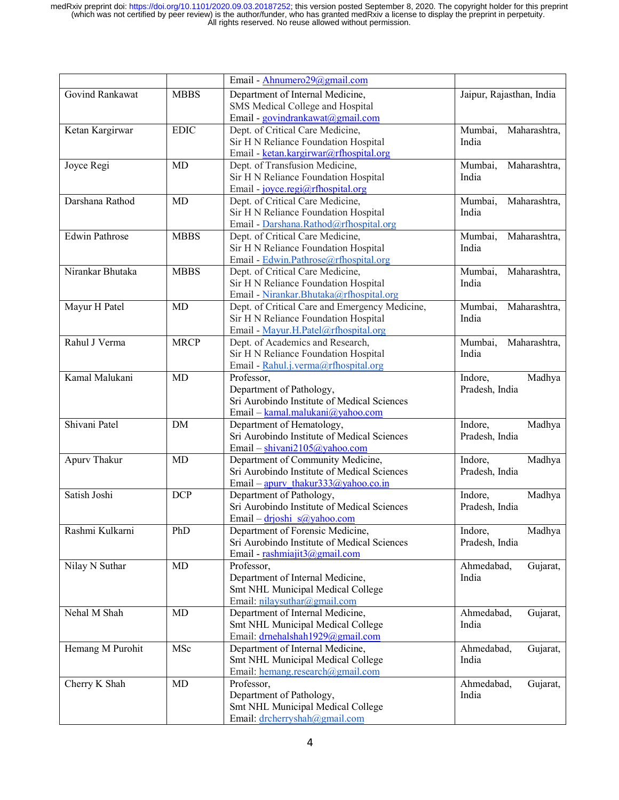|                       |             | Email - Ahnumero29@gmail.com                   |                          |
|-----------------------|-------------|------------------------------------------------|--------------------------|
| Govind Rankawat       | <b>MBBS</b> | Department of Internal Medicine,               | Jaipur, Rajasthan, India |
|                       |             | SMS Medical College and Hospital               |                          |
|                       |             | Email - govindrankawat@gmail.com               |                          |
| Ketan Kargirwar       | <b>EDIC</b> | Dept. of Critical Care Medicine,               | Mumbai,<br>Maharashtra,  |
|                       |             | Sir H N Reliance Foundation Hospital           | India                    |
|                       |             | Email - ketan.kargirwar@rfhospital.org         |                          |
| Joyce Regi            | MD          | Dept. of Transfusion Medicine,                 | Mumbai,<br>Maharashtra,  |
|                       |             | Sir H N Reliance Foundation Hospital           | India                    |
|                       |             | Email - joyce.regi@rfhospital.org              |                          |
| Darshana Rathod       | MD          | Dept. of Critical Care Medicine,               | Maharashtra,<br>Mumbai,  |
|                       |             | Sir H N Reliance Foundation Hospital           | India                    |
|                       |             | Email - Darshana.Rathod@rfhospital.org         |                          |
| <b>Edwin Pathrose</b> | <b>MBBS</b> | Dept. of Critical Care Medicine,               | Mumbai,<br>Maharashtra,  |
|                       |             | Sir H N Reliance Foundation Hospital           | India                    |
|                       |             | Email - Edwin.Pathrose@rfhospital.org          |                          |
| Nirankar Bhutaka      | <b>MBBS</b> | Dept. of Critical Care Medicine,               | Maharashtra,<br>Mumbai,  |
|                       |             | Sir H N Reliance Foundation Hospital           | India                    |
|                       |             | Email - Nirankar.Bhutaka@rfhospital.org        |                          |
| Mayur H Patel         | <b>MD</b>   | Dept. of Critical Care and Emergency Medicine, | Maharashtra,<br>Mumbai,  |
|                       |             | Sir H N Reliance Foundation Hospital           | India                    |
|                       |             | Email - Mayur.H.Patel@rfhospital.org           |                          |
| Rahul J Verma         | <b>MRCP</b> | Dept. of Academics and Research,               | Maharashtra,<br>Mumbai,  |
|                       |             | Sir H N Reliance Foundation Hospital           | India                    |
|                       |             | Email - Rahul.j.verma@rfhospital.org           |                          |
| Kamal Malukani        | MD          | Professor,                                     | Indore,<br>Madhya        |
|                       |             | Department of Pathology,                       | Pradesh, India           |
|                       |             | Sri Aurobindo Institute of Medical Sciences    |                          |
|                       |             | Email - kamal.malukani@yahoo.com               |                          |
| Shivani Patel         | DM          | Department of Hematology,                      | Indore,<br>Madhya        |
|                       |             | Sri Aurobindo Institute of Medical Sciences    | Pradesh, India           |
|                       |             | Email - shivani2105@yahoo.com                  |                          |
| Apurv Thakur          | MD          | Department of Community Medicine,              | Indore,<br>Madhya        |
|                       |             | Sri Aurobindo Institute of Medical Sciences    | Pradesh, India           |
|                       |             | Email – apury thakur333@yahoo.co.in            |                          |
| Satish Joshi          | <b>DCP</b>  | Department of Pathology,                       | Indore,<br>Madhya        |
|                       |             | Sri Aurobindo Institute of Medical Sciences    | Pradesh, India           |
|                       |             | Email – drjoshi s@yahoo.com                    |                          |
| Rashmi Kulkarni       | PhD         | Department of Forensic Medicine,               | Indore,<br>Madhya        |
|                       |             | Sri Aurobindo Institute of Medical Sciences    | Pradesh, India           |
|                       |             | Email - rashmiajit $3@g$ gmail.com             |                          |
| Nilay N Suthar        | MD          | Professor,                                     | Ahmedabad,<br>Gujarat,   |
|                       |             | Department of Internal Medicine,               | India                    |
|                       |             | Smt NHL Municipal Medical College              |                          |
|                       |             | Email: nilaysuthar@gmail.com                   |                          |
| Nehal M Shah          | MD          | Department of Internal Medicine,               | Ahmedabad,<br>Gujarat,   |
|                       |             | Smt NHL Municipal Medical College              | India                    |
|                       |             | Email: drnehalshah1929@gmail.com               |                          |
| Hemang M Purohit      | MSc         | Department of Internal Medicine,               | Ahmedabad,<br>Gujarat,   |
|                       |             | Smt NHL Municipal Medical College              | India                    |
|                       |             | Email: hemang.research@gmail.com               |                          |
| Cherry K Shah         | MD          | Professor,                                     | Ahmedabad,<br>Gujarat,   |
|                       |             | Department of Pathology,                       | India                    |
|                       |             | Smt NHL Municipal Medical College              |                          |
|                       |             | Email: drcherryshah@gmail.com                  |                          |
|                       |             |                                                |                          |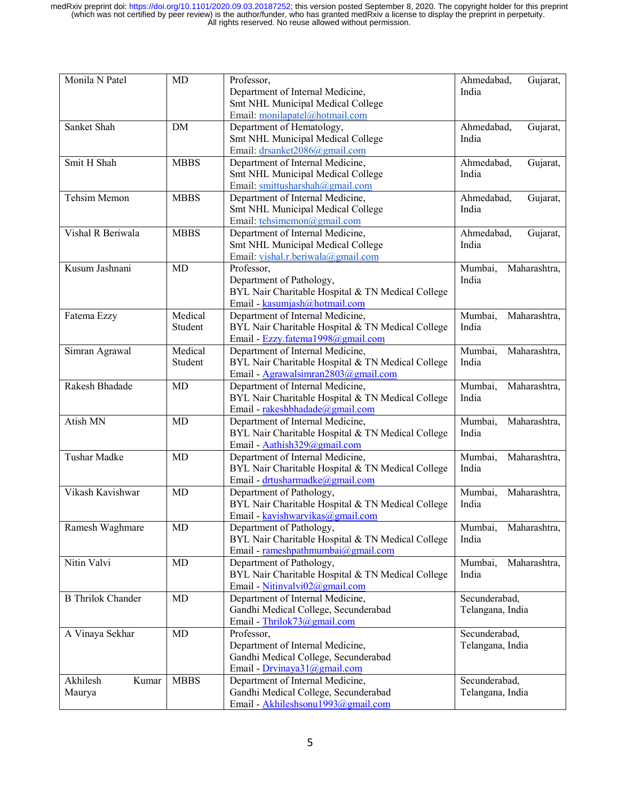| Monila N Patel              | MD                 | Professor,<br>Department of Internal Medicine,<br>Smt NHL Municipal Medical College<br>Email: monilapatel@hotmail.com        | Gujarat,<br>Ahmedabad,<br>India   |
|-----------------------------|--------------------|------------------------------------------------------------------------------------------------------------------------------|-----------------------------------|
| Sanket Shah                 | DM                 | Department of Hematology,<br>Smt NHL Municipal Medical College<br>Email: drsanket2086@gmail.com                              | Ahmedabad,<br>Gujarat,<br>India   |
| Smit H Shah                 | <b>MBBS</b>        | Department of Internal Medicine,<br>Smt NHL Municipal Medical College<br>Email: smittusharshah@gmail.com                     | Ahmedabad,<br>Gujarat,<br>India   |
| Tehsim Memon                | <b>MBBS</b>        | Department of Internal Medicine,<br>Smt NHL Municipal Medical College<br>Email: tehsimemon@gmail.com                         | Ahmedabad,<br>Gujarat,<br>India   |
| Vishal R Beriwala           | <b>MBBS</b>        | Department of Internal Medicine,<br>Smt NHL Municipal Medical College<br>Email: vishal.r.beriwala@gmail.com                  | Ahmedabad,<br>Gujarat,<br>India   |
| Kusum Jashnani              | <b>MD</b>          | Professor,<br>Department of Pathology,<br>BYL Nair Charitable Hospital & TN Medical College<br>Email - kasumjash@hotmail.com | Mumbai,<br>Maharashtra,<br>India  |
| Fatema Ezzy                 | Medical<br>Student | Department of Internal Medicine,<br>BYL Nair Charitable Hospital & TN Medical College<br>Email - Ezzy.fatema1998@gmail.com   | Mumbai,<br>Maharashtra,<br>India  |
| Simran Agrawal              | Medical<br>Student | Department of Internal Medicine,<br>BYL Nair Charitable Hospital & TN Medical College<br>Email - Agrawalsimran2803@gmail.com | Mumbai,<br>Maharashtra,<br>India  |
| Rakesh Bhadade              | MD                 | Department of Internal Medicine,<br>BYL Nair Charitable Hospital & TN Medical College<br>Email - rakeshbhadade@gmail.com     | Mumbai,<br>Maharashtra,<br>India  |
| Atish MN                    | MD                 | Department of Internal Medicine,<br>BYL Nair Charitable Hospital & TN Medical College<br>Email - Aathish329@gmail.com        | Mumbai,<br>Maharashtra,<br>India  |
| <b>Tushar Madke</b>         | MD                 | Department of Internal Medicine,<br>BYL Nair Charitable Hospital & TN Medical College<br>Email - drtusharmadke@gmail.com     | Mumbai,<br>Maharashtra,<br>India  |
| Vikash Kavishwar            | <b>MD</b>          | Department of Pathology,<br>BYL Nair Charitable Hospital & TN Medical College<br>Email - kavishwarvikas@gmail.com            | Maharashtra,<br>Mumbai,<br>India  |
| Ramesh Waghmare             | MD                 | Department of Pathology,<br>BYL Nair Charitable Hospital & TN Medical College<br>Email - rameshpathmumbai@gmail.com          | Maharashtra,<br>Mumbai,<br>India  |
| Nitin Valvi                 | MD                 | Department of Pathology,<br>BYL Nair Charitable Hospital & TN Medical College<br>Email - Nitinvalvi02@gmail.com              | Mumbai,<br>Maharashtra,<br>India  |
| <b>B</b> Thrilok Chander    | MD                 | Department of Internal Medicine,<br>Gandhi Medical College, Secunderabad<br>Email - Thrilok73@gmail.com                      | Secunderabad,<br>Telangana, India |
| A Vinaya Sekhar             | MD                 | Professor,<br>Department of Internal Medicine,<br>Gandhi Medical College, Secunderabad<br>Email - Drvinaya31@gmail.com       | Secunderabad,<br>Telangana, India |
| Akhilesh<br>Kumar<br>Maurya | <b>MBBS</b>        | Department of Internal Medicine,<br>Gandhi Medical College, Secunderabad<br>Email - Akhileshsonu1993@gmail.com               | Secunderabad,<br>Telangana, India |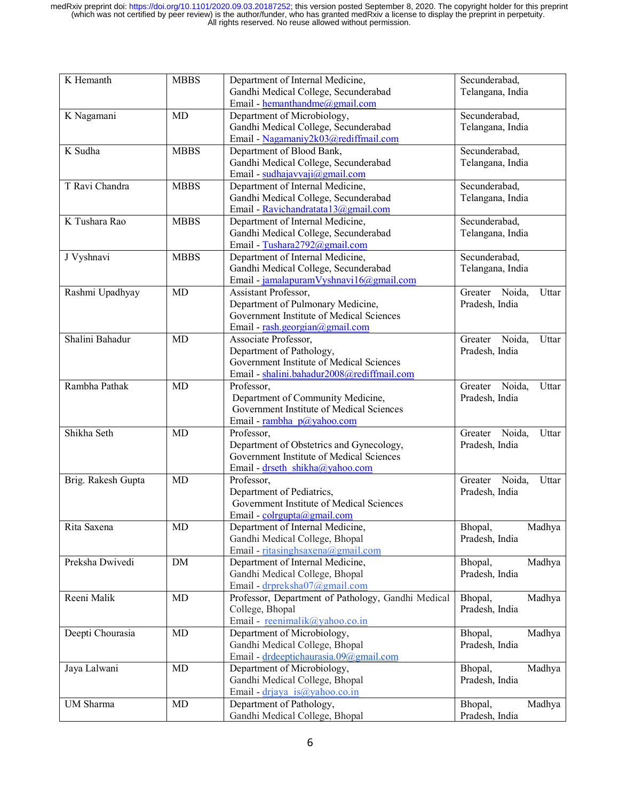| K Hemanth          | <b>MBBS</b> | Department of Internal Medicine,                   | Secunderabad,              |
|--------------------|-------------|----------------------------------------------------|----------------------------|
|                    |             | Gandhi Medical College, Secunderabad               | Telangana, India           |
|                    |             | Email - hemanthandme@gmail.com                     |                            |
| K Nagamani         | <b>MD</b>   | Department of Microbiology,                        | Secunderabad,              |
|                    |             | Gandhi Medical College, Secunderabad               | Telangana, India           |
|                    |             | Email - Nagamaniy2k03@rediffmail.com               |                            |
| K Sudha            | <b>MBBS</b> | Department of Blood Bank,                          | Secunderabad,              |
|                    |             |                                                    |                            |
|                    |             | Gandhi Medical College, Secunderabad               | Telangana, India           |
|                    |             | Email - sudhajavvaji@gmail.com                     |                            |
| T Ravi Chandra     | <b>MBBS</b> | Department of Internal Medicine,                   | Secunderabad,              |
|                    |             | Gandhi Medical College, Secunderabad               | Telangana, India           |
|                    |             | Email - Ravichandratata 13@gmail.com               |                            |
| K Tushara Rao      | <b>MBBS</b> | Department of Internal Medicine,                   | Secunderabad,              |
|                    |             | Gandhi Medical College, Secunderabad               | Telangana, India           |
|                    |             | Email - Tushara2792@gmail.com                      |                            |
| J Vyshnavi         | <b>MBBS</b> | Department of Internal Medicine,                   | Secunderabad,              |
|                    |             | Gandhi Medical College, Secunderabad               | Telangana, India           |
|                    |             | Email - jamalapuramVyshnavi16@gmail.com            |                            |
| Rashmi Upadhyay    | <b>MD</b>   | Assistant Professor,                               | Greater Noida,<br>Uttar    |
|                    |             | Department of Pulmonary Medicine,                  | Pradesh, India             |
|                    |             | Government Institute of Medical Sciences           |                            |
|                    |             | Email - rash.georgian@gmail.com                    |                            |
| Shalini Bahadur    |             |                                                    |                            |
|                    | <b>MD</b>   | Associate Professor,                               | Greater<br>Noida,<br>Uttar |
|                    |             | Department of Pathology,                           | Pradesh, India             |
|                    |             | Government Institute of Medical Sciences           |                            |
|                    |             | Email - shalini.bahadur2008@rediffmail.com         |                            |
| Rambha Pathak      | MD          | Professor,                                         | Greater<br>Noida,<br>Uttar |
|                    |             | Department of Community Medicine,                  | Pradesh, India             |
|                    |             | Government Institute of Medical Sciences           |                            |
|                    |             | Email - rambha p@yahoo.com                         |                            |
| Shikha Seth        | <b>MD</b>   | Professor,                                         | Greater<br>Noida,<br>Uttar |
|                    |             | Department of Obstetrics and Gynecology,           | Pradesh, India             |
|                    |             | Government Institute of Medical Sciences           |                            |
|                    |             | Email - drseth shikha@yahoo.com                    |                            |
| Brig. Rakesh Gupta | <b>MD</b>   | Professor,                                         | Noida,<br>Uttar<br>Greater |
|                    |             | Department of Pediatrics,                          | Pradesh, India             |
|                    |             | Government Institute of Medical Sciences           |                            |
|                    |             |                                                    |                            |
|                    |             | Email - colrgupta@gmail.com                        |                            |
| Rita Saxena        | MD          | Department of Internal Medicine,                   | Bhopal,<br>Madhya          |
|                    |             | Gandhi Medical College, Bhopal                     | Pradesh, India             |
|                    |             | Email - ritasinghsaxena@gmail.com                  |                            |
| Preksha Dwivedi    | DM          | Department of Internal Medicine,                   | Bhopal,<br>Madhya          |
|                    |             | Gandhi Medical College, Bhopal                     | Pradesh, India             |
|                    |             | Email - drpreksha07@gmail.com                      |                            |
| Reeni Malik        | MD          | Professor, Department of Pathology, Gandhi Medical | Bhopal,<br>Madhya          |
|                    |             | College, Bhopal                                    | Pradesh, India             |
|                    |             | Email - reenimalik@yahoo.co.in                     |                            |
| Deepti Chourasia   | MD          | Department of Microbiology,                        | Bhopal,<br>Madhya          |
|                    |             | Gandhi Medical College, Bhopal                     | Pradesh, India             |
|                    |             |                                                    |                            |
|                    |             | Email - drdeeptichaurasia.09@gmail.com             |                            |
| Jaya Lalwani       | MD          | Department of Microbiology,                        | Bhopal,<br>Madhya          |
|                    |             | Gandhi Medical College, Bhopal                     | Pradesh, India             |
|                    |             | Email - drjaya is@yahoo.co.in                      |                            |
| UM Sharma          | MD          | Department of Pathology,                           | Madhya<br>Bhopal,          |
|                    |             | Gandhi Medical College, Bhopal                     | Pradesh, India             |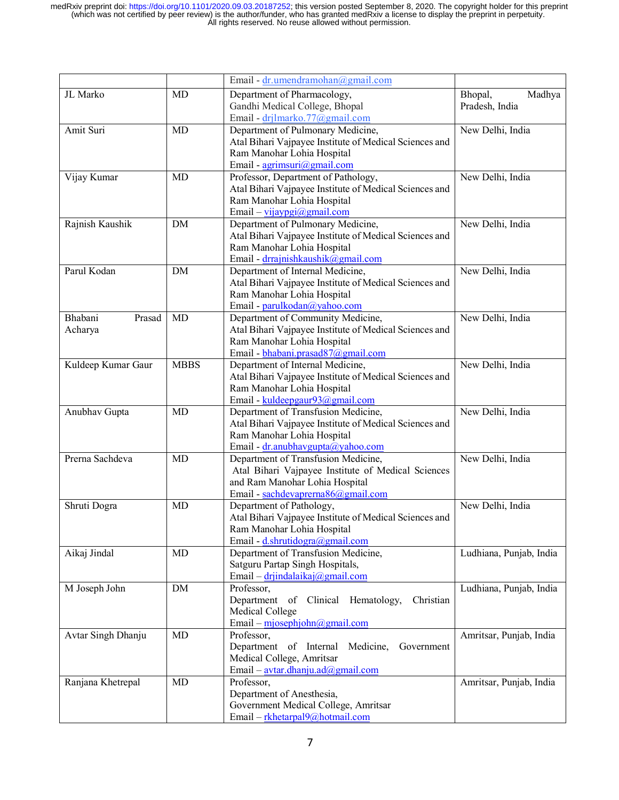|                    |             | Email - dr.umendramohan@gmail.com                                      |                         |
|--------------------|-------------|------------------------------------------------------------------------|-------------------------|
| JL Marko           | <b>MD</b>   | Department of Pharmacology,                                            | Madhya<br>Bhopal,       |
|                    |             | Gandhi Medical College, Bhopal                                         | Pradesh, India          |
|                    |             | Email - drilmarko.77@gmail.com                                         |                         |
| Amit Suri          | MD          | Department of Pulmonary Medicine,                                      | New Delhi, India        |
|                    |             | Atal Bihari Vajpayee Institute of Medical Sciences and                 |                         |
|                    |             | Ram Manohar Lohia Hospital                                             |                         |
|                    |             | Email - agrimsuri@gmail.com                                            |                         |
| Vijay Kumar        | MD          | Professor, Department of Pathology,                                    | New Delhi, India        |
|                    |             | Atal Bihari Vajpayee Institute of Medical Sciences and                 |                         |
|                    |             | Ram Manohar Lohia Hospital                                             |                         |
|                    |             | Email – vijaypgi@gmail.com                                             |                         |
| Rajnish Kaushik    | DM          | Department of Pulmonary Medicine,                                      | New Delhi, India        |
|                    |             | Atal Bihari Vajpayee Institute of Medical Sciences and                 |                         |
|                    |             | Ram Manohar Lohia Hospital                                             |                         |
|                    |             | Email - drrajnishkaushik@gmail.com                                     |                         |
| Parul Kodan        | <b>DM</b>   | Department of Internal Medicine,                                       | New Delhi, India        |
|                    |             | Atal Bihari Vajpayee Institute of Medical Sciences and                 |                         |
|                    |             | Ram Manohar Lohia Hospital                                             |                         |
|                    |             | Email - parulkodan@yahoo.com                                           |                         |
| Bhabani<br>Prasad  | <b>MD</b>   | Department of Community Medicine,                                      | New Delhi, India        |
| Acharya            |             | Atal Bihari Vajpayee Institute of Medical Sciences and                 |                         |
|                    |             | Ram Manohar Lohia Hospital                                             |                         |
|                    |             | Email - bhabani.prasad87@gmail.com                                     |                         |
| Kuldeep Kumar Gaur | <b>MBBS</b> | Department of Internal Medicine,                                       | New Delhi, India        |
|                    |             | Atal Bihari Vajpayee Institute of Medical Sciences and                 |                         |
|                    |             | Ram Manohar Lohia Hospital                                             |                         |
| Anubhav Gupta      | MD          | Email - kuldeepgaur93@gmail.com<br>Department of Transfusion Medicine, | New Delhi, India        |
|                    |             | Atal Bihari Vajpayee Institute of Medical Sciences and                 |                         |
|                    |             | Ram Manohar Lohia Hospital                                             |                         |
|                    |             | Email - dr.anubhavgupta@yahoo.com                                      |                         |
| Prerna Sachdeva    | <b>MD</b>   | Department of Transfusion Medicine,                                    | New Delhi, India        |
|                    |             | Atal Bihari Vajpayee Institute of Medical Sciences                     |                         |
|                    |             | and Ram Manohar Lohia Hospital                                         |                         |
|                    |             | Email - sachdevaprerna86@gmail.com                                     |                         |
| Shruti Dogra       | MD          | Department of Pathology,                                               | New Delhi, India        |
|                    |             | Atal Bihari Vajpayee Institute of Medical Sciences and                 |                         |
|                    |             | Ram Manohar Lohia Hospital                                             |                         |
|                    |             | Email - d.shrutidogra@gmail.com                                        |                         |
| Aikaj Jindal       | MD          | Department of Transfusion Medicine,                                    | Ludhiana, Punjab, India |
|                    |             | Satguru Partap Singh Hospitals,                                        |                         |
|                    |             | Email – drjindalaikaj@gmail.com                                        |                         |
| M Joseph John      | DM          | Professor,                                                             | Ludhiana, Punjab, India |
|                    |             | Department of Clinical Hematology,<br>Christian                        |                         |
|                    |             | Medical College                                                        |                         |
|                    |             | Email - mjosephjohn@gmail.com                                          |                         |
| Avtar Singh Dhanju | MD          | Professor,                                                             | Amritsar, Punjab, India |
|                    |             | Department of Internal<br>Medicine,<br>Government                      |                         |
|                    |             | Medical College, Amritsar                                              |                         |
|                    |             | Email – avtar.dhanju.ad $(\partial \text{gmail.com})$                  |                         |
| Ranjana Khetrepal  | MD          | Professor,                                                             | Amritsar, Punjab, India |
|                    |             | Department of Anesthesia,                                              |                         |
|                    |             | Government Medical College, Amritsar                                   |                         |
|                    |             | Email - rkhetarpal9@hotmail.com                                        |                         |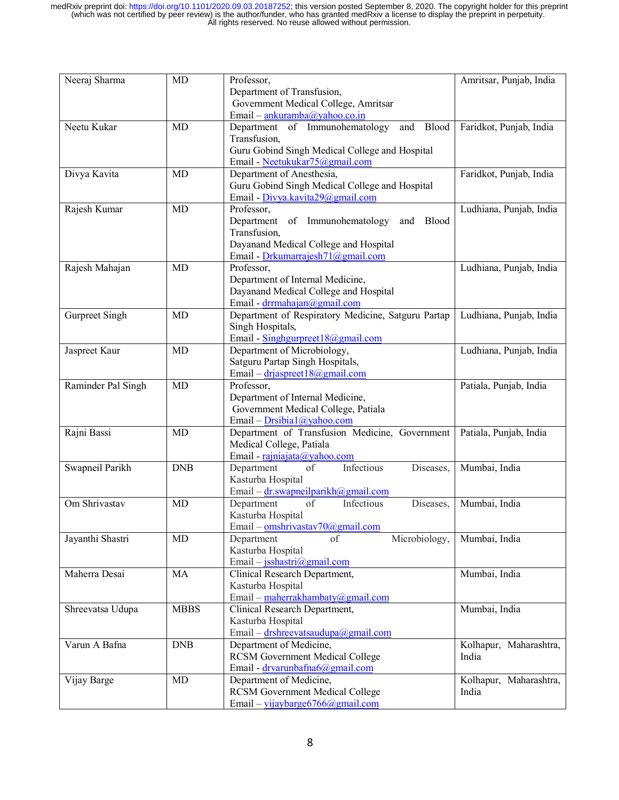| Neeraj Sharma      | <b>MD</b>   | Professor,                                         | Amritsar, Punjab, India |
|--------------------|-------------|----------------------------------------------------|-------------------------|
|                    |             | Department of Transfusion,                         |                         |
|                    |             | Government Medical College, Amritsar               |                         |
|                    |             | Email – $\frac{ankuramba(a)}{yahoo.co.in}$         |                         |
| Neetu Kukar        | MD          | and Blood<br>Department of Immunohematology        | Faridkot, Punjab, India |
|                    |             | Transfusion,                                       |                         |
|                    |             | Guru Gobind Singh Medical College and Hospital     |                         |
|                    |             | Email - Neetukukar75@gmail.com                     |                         |
| Divya Kavita       | MD          | Department of Anesthesia,                          | Faridkot, Punjab, India |
|                    |             | Guru Gobind Singh Medical College and Hospital     |                         |
|                    |             | Email - Divya.kavita29@gmail.com                   |                         |
| Rajesh Kumar       | <b>MD</b>   | Professor,                                         | Ludhiana, Punjab, India |
|                    |             | Department of Immunohematology<br>Blood<br>and     |                         |
|                    |             | Transfusion,                                       |                         |
|                    |             | Dayanand Medical College and Hospital              |                         |
|                    |             | Email - Drkumarrajesh71@gmail.com                  |                         |
| Rajesh Mahajan     | <b>MD</b>   | Professor,                                         | Ludhiana, Punjab, India |
|                    |             | Department of Internal Medicine,                   |                         |
|                    |             | Dayanand Medical College and Hospital              |                         |
|                    |             | Email - drrmahajan@gmail.com                       |                         |
| Gurpreet Singh     | <b>MD</b>   | Department of Respiratory Medicine, Satguru Partap | Ludhiana, Punjab, India |
|                    |             | Singh Hospitals,                                   |                         |
|                    |             | Email - Singhgurpreet18@gmail.com                  |                         |
| Jaspreet Kaur      | <b>MD</b>   | Department of Microbiology,                        | Ludhiana, Punjab, India |
|                    |             | Satguru Partap Singh Hospitals,                    |                         |
|                    |             | Email – drjaspreet 18@gmail.com                    |                         |
| Raminder Pal Singh | <b>MD</b>   | Professor,                                         | Patiala, Punjab, India  |
|                    |             | Department of Internal Medicine,                   |                         |
|                    |             | Government Medical College, Patiala                |                         |
|                    |             | Email - $Drsibia1(a)$ yahoo.com                    |                         |
| Rajni Bassi        | <b>MD</b>   | Department of Transfusion Medicine, Government     | Patiala, Punjab, India  |
|                    |             | Medical College, Patiala                           |                         |
|                    |             | Email - rajniajata@yahoo.com                       |                         |
|                    | <b>DNB</b>  | Infectious                                         | Mumbai, India           |
| Swapneil Parikh    |             | Department<br>of<br>Diseases,                      |                         |
|                    |             | Kasturba Hospital                                  |                         |
|                    |             | Email – $dr$ . swapneil parikh@gmail.com           |                         |
| Om Shrivastav      | <b>MD</b>   | Department<br>of<br>Infectious<br>Diseases,        | Mumbai, India           |
|                    |             | Kasturba Hospital                                  |                         |
|                    |             | Email – omshrivastav70@gmail.com                   |                         |
| Jayanthi Shastri   | <b>MD</b>   | Microbiology,<br>Department<br>of                  | Mumbai, India           |
|                    |             | Kasturba Hospital                                  |                         |
|                    |             | Email - jsshastri@gmail.com                        |                         |
| Maherra Desai      | MA          | Clinical Research Department,                      | Mumbai, India           |
|                    |             | Kasturba Hospital                                  |                         |
|                    |             | Email – maherrakhambaty@gmail.com                  |                         |
| Shreevatsa Udupa   | <b>MBBS</b> | Clinical Research Department,                      | Mumbai, India           |
|                    |             | Kasturba Hospital                                  |                         |
|                    |             | Email – drshreevatsaudupa@gmail.com                |                         |
| Varun A Bafna      | <b>DNB</b>  | Department of Medicine,                            | Kolhapur, Maharashtra,  |
|                    |             | <b>RCSM Government Medical College</b>             | India                   |
|                    |             | Email - drvarunbafna6@gmail.com                    |                         |
| Vijay Barge        | <b>MD</b>   | Department of Medicine,                            | Kolhapur, Maharashtra,  |
|                    |             | <b>RCSM Government Medical College</b>             | India                   |
|                    |             | Email – vijaybarge 6766@gmail.com                  |                         |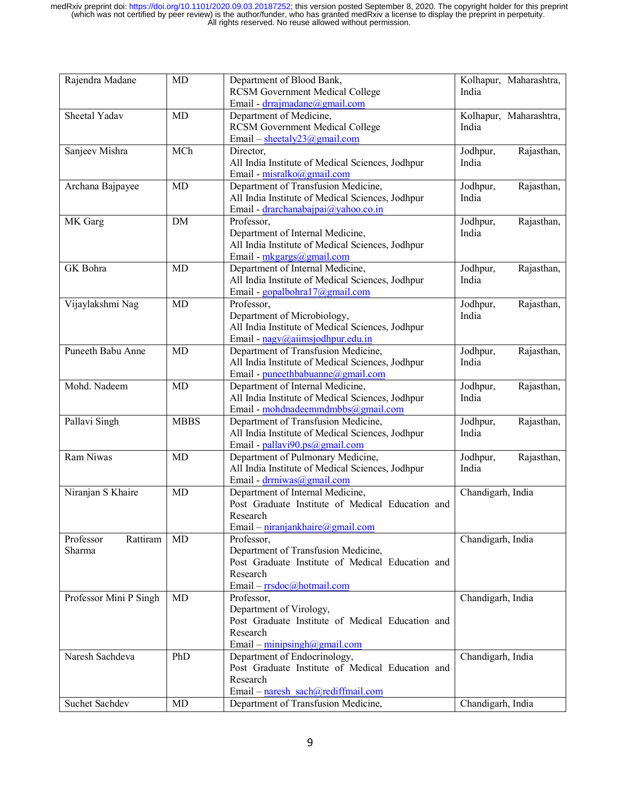| Rajendra Madane        | MD          | Department of Blood Bank,<br><b>RCSM Government Medical College</b> | Kolhapur, Maharashtra,<br>India |
|------------------------|-------------|---------------------------------------------------------------------|---------------------------------|
|                        |             | Email - drrajmadane@gmail.com                                       |                                 |
| Sheetal Yadav          | MD          | Department of Medicine,                                             | Kolhapur, Maharashtra,          |
|                        |             | <b>RCSM Government Medical College</b>                              | India                           |
|                        |             | Email - sheetaly23@gmail.com                                        |                                 |
| Sanjeev Mishra         | MCh         | Director,                                                           | Rajasthan,<br>Jodhpur,          |
|                        |             | All India Institute of Medical Sciences, Jodhpur                    | India                           |
|                        |             | Email - misralko@gmail.com                                          |                                 |
| Archana Bajpayee       | <b>MD</b>   | Department of Transfusion Medicine,                                 | Jodhpur,<br>Rajasthan,          |
|                        |             | All India Institute of Medical Sciences, Jodhpur                    | India                           |
|                        |             | Email - drarchanabajpai@yahoo.co.in                                 |                                 |
| MK Garg                | <b>DM</b>   | Professor,                                                          | Rajasthan,<br>Jodhpur,          |
|                        |             | Department of Internal Medicine,                                    | India                           |
|                        |             | All India Institute of Medical Sciences, Jodhpur                    |                                 |
|                        |             | Email - mkgargs@gmail.com                                           |                                 |
| GK Bohra               | <b>MD</b>   | Department of Internal Medicine,                                    | Jodhpur,<br>Rajasthan,          |
|                        |             | All India Institute of Medical Sciences, Jodhpur                    | India                           |
|                        |             | Email - gopalbohra17@gmail.com                                      |                                 |
| Vijaylakshmi Nag       | <b>MD</b>   | Professor,                                                          | Jodhpur,<br>Rajasthan,          |
|                        |             | Department of Microbiology,                                         | India                           |
|                        |             | All India Institute of Medical Sciences, Jodhpur                    |                                 |
|                        |             | Email - nagy@aiimsjodhpur.edu.in                                    |                                 |
| Puneeth Babu Anne      | MD          | Department of Transfusion Medicine,                                 | Jodhpur,<br>Rajasthan,          |
|                        |             | All India Institute of Medical Sciences, Jodhpur                    | India                           |
|                        |             | Email - puneethbabuanne@gmail.com                                   |                                 |
| Mohd. Nadeem           | MD          | Department of Internal Medicine,                                    | Jodhpur,<br>Rajasthan,          |
|                        |             | All India Institute of Medical Sciences, Jodhpur                    | India                           |
|                        |             | Email - mohdnadeemmdmbbs@gmail.com                                  |                                 |
| Pallavi Singh          | <b>MBBS</b> | Department of Transfusion Medicine,                                 | Jodhpur,<br>Rajasthan,          |
|                        |             | All India Institute of Medical Sciences, Jodhpur                    | India                           |
|                        |             | Email - pallavi90.ps@gmail.com                                      |                                 |
| Ram Niwas              | MD          | Department of Pulmonary Medicine,                                   | Jodhpur,<br>Rajasthan,          |
|                        |             | All India Institute of Medical Sciences, Jodhpur                    | India                           |
|                        |             | Email - drrniwas@gmail.com                                          |                                 |
| Niranjan S Khaire      | MD          | Department of Internal Medicine,                                    | Chandigarh, India               |
|                        |             | Post Graduate Institute of Medical Education and                    |                                 |
|                        |             | Research                                                            |                                 |
|                        |             | Email – niranjankhaire@gmail.com                                    |                                 |
| Professor<br>Rattiram  | <b>MD</b>   | Professor,                                                          | Chandigarh, India               |
| Sharma                 |             | Department of Transfusion Medicine,                                 |                                 |
|                        |             | Post Graduate Institute of Medical Education and                    |                                 |
|                        |             | Research                                                            |                                 |
|                        |             | Email - rrsdoc@hotmail.com                                          |                                 |
| Professor Mini P Singh | <b>MD</b>   | Professor,                                                          | Chandigarh, India               |
|                        |             | Department of Virology,                                             |                                 |
|                        |             | Post Graduate Institute of Medical Education and                    |                                 |
|                        |             | Research                                                            |                                 |
|                        |             | Email – minipsingh@gmail.com                                        |                                 |
| Naresh Sachdeva        | PhD         | Department of Endocrinology,                                        | Chandigarh, India               |
|                        |             | Post Graduate Institute of Medical Education and                    |                                 |
|                        |             | Research                                                            |                                 |
|                        |             | Email – naresh sach@rediffmail.com                                  |                                 |
| Suchet Sachdev         | MD          | Department of Transfusion Medicine,                                 | Chandigarh, India               |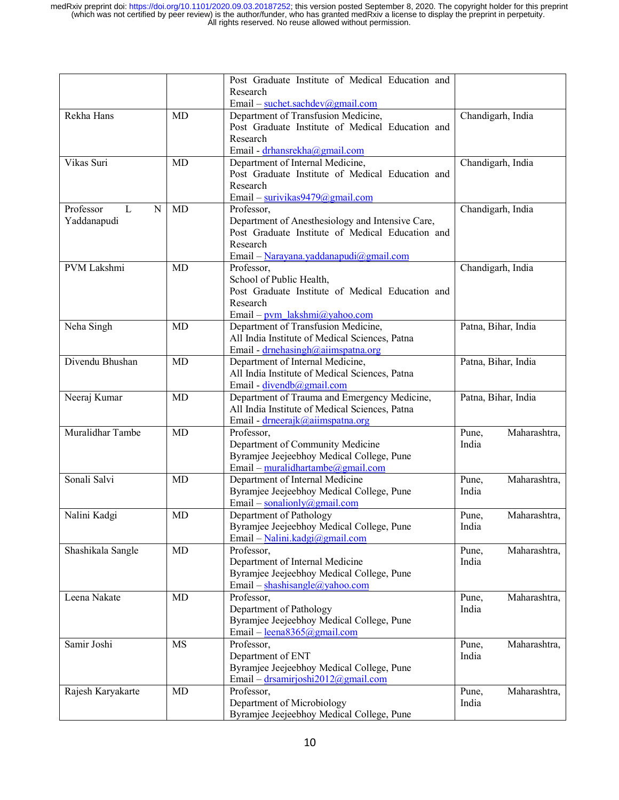|                     |           | Post Graduate Institute of Medical Education and |                       |
|---------------------|-----------|--------------------------------------------------|-----------------------|
|                     |           | Research                                         |                       |
|                     |           | Email – suchet.sachdev@gmail.com                 |                       |
| Rekha Hans          | MD        | Department of Transfusion Medicine,              | Chandigarh, India     |
|                     |           | Post Graduate Institute of Medical Education and |                       |
|                     |           | Research                                         |                       |
|                     |           | Email - drhansrekha@gmail.com                    |                       |
| Vikas Suri          | MD        | Department of Internal Medicine,                 | Chandigarh, India     |
|                     |           | Post Graduate Institute of Medical Education and |                       |
|                     |           | Research                                         |                       |
|                     |           | Email – surivikas9479@gmail.com                  |                       |
| Professor<br>L<br>N | <b>MD</b> | Professor,                                       | Chandigarh, India     |
| Yaddanapudi         |           | Department of Anesthesiology and Intensive Care, |                       |
|                     |           | Post Graduate Institute of Medical Education and |                       |
|                     |           | Research                                         |                       |
|                     |           | Email - Narayana.yaddanapudi@gmail.com           |                       |
| PVM Lakshmi         | MD        | Professor,                                       | Chandigarh, India     |
|                     |           | School of Public Health,                         |                       |
|                     |           | Post Graduate Institute of Medical Education and |                       |
|                     |           | Research                                         |                       |
|                     |           | Email - pvm lakshmi@yahoo.com                    |                       |
| Neha Singh          | MD        | Department of Transfusion Medicine,              | Patna, Bihar, India   |
|                     |           | All India Institute of Medical Sciences, Patna   |                       |
|                     |           | Email - drnehasingh@aiimspatna.org               |                       |
| Divendu Bhushan     | <b>MD</b> | Department of Internal Medicine,                 | Patna, Bihar, India   |
|                     |           | All India Institute of Medical Sciences, Patna   |                       |
|                     |           | Email - divendb@gmail.com                        |                       |
| Neeraj Kumar        | MD        | Department of Trauma and Emergency Medicine,     | Patna, Bihar, India   |
|                     |           | All India Institute of Medical Sciences, Patna   |                       |
|                     |           | Email - drneerajk@aiimspatna.org                 |                       |
| Muralidhar Tambe    | MD        | Professor,                                       | Maharashtra,<br>Pune, |
|                     |           | Department of Community Medicine                 | India                 |
|                     |           | Byramjee Jeejeebhoy Medical College, Pune        |                       |
|                     |           | Email – muralidhartambe@gmail.com                |                       |
| Sonali Salvi        | MD        | Department of Internal Medicine                  | Maharashtra,<br>Pune, |
|                     |           | Byramjee Jeejeebhoy Medical College, Pune        | India                 |
|                     |           | Email – sonalionly@gmail.com                     |                       |
| Nalini Kadgi        | MD        | Department of Pathology                          | Maharashtra,<br>Pune, |
|                     |           | Byramjee Jeejeebhoy Medical College, Pune        | India                 |
|                     |           | Email – Nalini.kadgi@gmail.com                   |                       |
| Shashikala Sangle   | MD        | Professor,                                       | Pune,<br>Maharashtra, |
|                     |           | Department of Internal Medicine                  | India                 |
|                     |           | Byramjee Jeejeebhoy Medical College, Pune        |                       |
|                     |           | Email – shashisangle@yahoo.com                   |                       |
| Leena Nakate        | MD        | Professor,                                       | Maharashtra,<br>Pune, |
|                     |           | Department of Pathology                          | India                 |
|                     |           | Byramjee Jeejeebhoy Medical College, Pune        |                       |
|                     |           | Email – $lena8365@gmail.com$                     |                       |
| Samir Joshi         | <b>MS</b> | Professor,                                       | Pune,<br>Maharashtra, |
|                     |           | Department of ENT                                | India                 |
|                     |           | Byramjee Jeejeebhoy Medical College, Pune        |                       |
|                     |           | Email – drsamirjoshi2012@gmail.com               |                       |
| Rajesh Karyakarte   | MD        | Professor,                                       | Maharashtra,<br>Pune, |
|                     |           | Department of Microbiology                       | India                 |
|                     |           | Byramjee Jeejeebhoy Medical College, Pune        |                       |
|                     |           |                                                  |                       |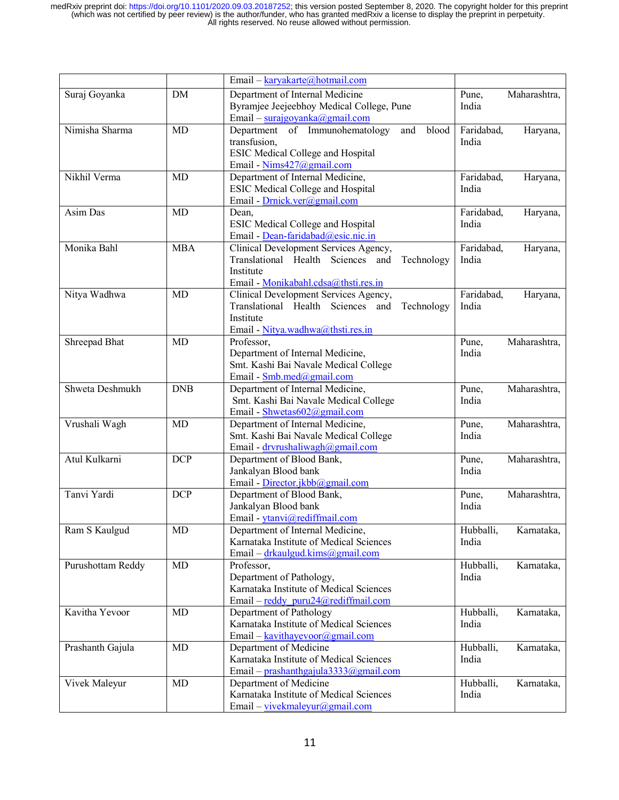|                   |            | Email - karyakarte@hotmail.com                  |                         |
|-------------------|------------|-------------------------------------------------|-------------------------|
| Suraj Goyanka     | <b>DM</b>  | Department of Internal Medicine                 | Maharashtra,<br>Pune,   |
|                   |            | Byramjee Jeejeebhoy Medical College, Pune       | India                   |
|                   |            | Email – surajgoyanka@gmail.com                  |                         |
| Nimisha Sharma    | <b>MD</b>  | Department of Immunohematology<br>blood<br>and  | Faridabad,<br>Haryana,  |
|                   |            | transfusion,                                    | India                   |
|                   |            | <b>ESIC Medical College and Hospital</b>        |                         |
|                   |            | Email - Nims427@gmail.com                       |                         |
| Nikhil Verma      | MD         | Department of Internal Medicine,                | Faridabad,<br>Haryana,  |
|                   |            | <b>ESIC Medical College and Hospital</b>        | India                   |
|                   |            | Email - Drnick.ver@gmail.com                    |                         |
| Asim Das          | MD         | Dean,                                           | Faridabad,<br>Haryana,  |
|                   |            | ESIC Medical College and Hospital               | India                   |
|                   |            | Email - Dean-faridabad@esic.nic.in              |                         |
| Monika Bahl       | <b>MBA</b> | Clinical Development Services Agency,           | Faridabad,<br>Haryana,  |
|                   |            | Translational Health Sciences and<br>Technology | India                   |
|                   |            | Institute                                       |                         |
|                   |            | Email - Monikabahl.cdsa@thsti.res.in            |                         |
| Nitya Wadhwa      | <b>MD</b>  | Clinical Development Services Agency,           | Faridabad,<br>Haryana,  |
|                   |            | Translational Health Sciences and<br>Technology | India                   |
|                   |            | Institute                                       |                         |
|                   |            | Email - Nitya.wadhwa@thsti.res.in               |                         |
| Shreepad Bhat     | <b>MD</b>  | Professor,                                      | Maharashtra,<br>Pune,   |
|                   |            | Department of Internal Medicine,                | India                   |
|                   |            | Smt. Kashi Bai Navale Medical College           |                         |
|                   |            | Email - Smb.med@gmail.com                       |                         |
| Shweta Deshmukh   | <b>DNB</b> | Department of Internal Medicine,                | Maharashtra,<br>Pune,   |
|                   |            | Smt. Kashi Bai Navale Medical College           | India                   |
|                   |            | Email - Shwetas602@gmail.com                    |                         |
| Vrushali Wagh     | MD         | Department of Internal Medicine,                | Maharashtra,<br>Pune,   |
|                   |            | Smt. Kashi Bai Navale Medical College           | India                   |
|                   |            | Email - dryrushaliwagh@gmail.com                |                         |
| Atul Kulkarni     | <b>DCP</b> | Department of Blood Bank,                       | Maharashtra,<br>Pune,   |
|                   |            | Jankalyan Blood bank                            | India                   |
|                   |            | Email - Director.jkbb@gmail.com                 |                         |
| Tanvi Yardi       | <b>DCP</b> | Department of Blood Bank,                       | Maharashtra,<br>Pune,   |
|                   |            | Jankalyan Blood bank                            | India                   |
|                   |            | Email - ytanvi@rediffmail.com                   |                         |
| Ram S Kaulgud     | MD         | Department of Internal Medicine,                | Hubballi,<br>Karnataka, |
|                   |            | Karnataka Institute of Medical Sciences         | India                   |
|                   |            | Email – drkaulgud.kims@gmail.com                |                         |
| Purushottam Reddy | MD         | Professor,                                      | Hubballi,<br>Karnataka, |
|                   |            | Department of Pathology,                        | India                   |
|                   |            | Karnataka Institute of Medical Sciences         |                         |
|                   |            | Email – reddy puru24@rediffmail.com             |                         |
| Kavitha Yevoor    | MD         | Department of Pathology                         | Hubballi,<br>Karnataka, |
|                   |            | Karnataka Institute of Medical Sciences         | India                   |
|                   |            | Email - kavithayevoor@gmail.com                 |                         |
| Prashanth Gajula  | MD         | Department of Medicine                          | Hubballi,<br>Karnataka, |
|                   |            | Karnataka Institute of Medical Sciences         | India                   |
|                   |            | Email - prashanthgajula3333@gmail.com           |                         |
| Vivek Maleyur     | MD         | Department of Medicine                          | Hubballi,<br>Karnataka, |
|                   |            | Karnataka Institute of Medical Sciences         | India                   |
|                   |            | Email - vivekmaleyur@gmail.com                  |                         |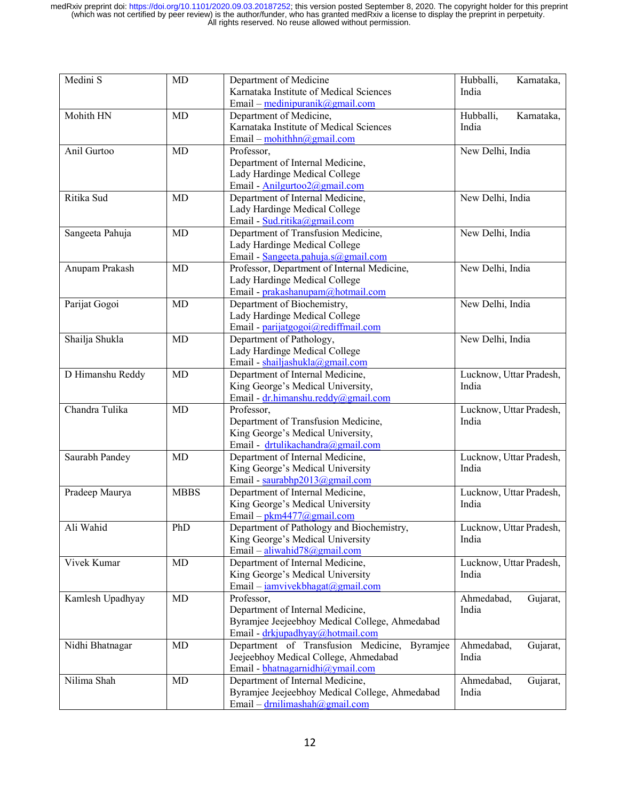| Medini S         | MD          | Department of Medicine                                                                  | Hubballi,<br>Karnataka, |
|------------------|-------------|-----------------------------------------------------------------------------------------|-------------------------|
|                  |             | Karnataka Institute of Medical Sciences                                                 | India                   |
|                  |             | Email – medinipuranik@gmail.com                                                         |                         |
| Mohith HN        | MD          | Department of Medicine,                                                                 | Hubballi,<br>Karnataka, |
|                  |             | Karnataka Institute of Medical Sciences                                                 | India                   |
|                  |             | Email – $\frac{\text{mohithhn}(a)\text{gmail.com}}{\text{mohithhn}(a)\text{gmail.com}}$ |                         |
| Anil Gurtoo      | MD          | Professor,                                                                              | New Delhi, India        |
|                  |             | Department of Internal Medicine,                                                        |                         |
|                  |             | Lady Hardinge Medical College                                                           |                         |
|                  |             | Email - Anilgurtoo2@gmail.com                                                           |                         |
| Ritika Sud       | MD          | Department of Internal Medicine,                                                        | New Delhi, India        |
|                  |             | Lady Hardinge Medical College                                                           |                         |
|                  |             | Email - Sud.ritika@gmail.com                                                            |                         |
| Sangeeta Pahuja  | MD          | Department of Transfusion Medicine,                                                     | New Delhi, India        |
|                  |             | Lady Hardinge Medical College                                                           |                         |
|                  |             | Email - Sangeeta.pahuja.s@gmail.com                                                     |                         |
| Anupam Prakash   | <b>MD</b>   | Professor, Department of Internal Medicine,                                             | New Delhi, India        |
|                  |             | Lady Hardinge Medical College<br>Email - prakashanupam@hotmail.com                      |                         |
| Parijat Gogoi    | MD          | Department of Biochemistry,                                                             | New Delhi, India        |
|                  |             | Lady Hardinge Medical College                                                           |                         |
|                  |             | Email - parijatgogoi@rediffmail.com                                                     |                         |
| Shailja Shukla   | MD          | Department of Pathology,                                                                | New Delhi, India        |
|                  |             | Lady Hardinge Medical College                                                           |                         |
|                  |             | Email - shailjashukla@gmail.com                                                         |                         |
| D Himanshu Reddy | MD          | Department of Internal Medicine,                                                        | Lucknow, Uttar Pradesh, |
|                  |             | King George's Medical University,                                                       | India                   |
|                  |             | Email - dr.himanshu.reddy@gmail.com                                                     |                         |
| Chandra Tulika   | MD          | Professor,                                                                              | Lucknow, Uttar Pradesh, |
|                  |             | Department of Transfusion Medicine,                                                     | India                   |
|                  |             | King George's Medical University,                                                       |                         |
|                  |             | Email - drtulikachandra@gmail.com                                                       |                         |
| Saurabh Pandey   | <b>MD</b>   | Department of Internal Medicine,                                                        | Lucknow, Uttar Pradesh, |
|                  |             | King George's Medical University                                                        | India                   |
|                  |             | Email - saurabhp2013@gmail.com                                                          |                         |
| Pradeep Maurya   | <b>MBBS</b> | Department of Internal Medicine,                                                        | Lucknow, Uttar Pradesh, |
|                  |             | King George's Medical University                                                        | India                   |
|                  |             | Email – $pkm4477@gmail.com$                                                             |                         |
| Ali Wahid        | PhD         | Department of Pathology and Biochemistry,                                               | Lucknow, Uttar Pradesh, |
|                  |             | King George's Medical University                                                        | India                   |
|                  |             | Email - aliwahid78@gmail.com                                                            |                         |
| Vivek Kumar      | MD          | Department of Internal Medicine,                                                        | Lucknow, Uttar Pradesh, |
|                  |             | King George's Medical University                                                        | India                   |
|                  |             | Email – iamvivekbhagat@gmail.com                                                        |                         |
| Kamlesh Upadhyay | MD          | Professor,                                                                              | Ahmedabad,<br>Gujarat,  |
|                  |             | Department of Internal Medicine,                                                        | India                   |
|                  |             | Byramjee Jeejeebhoy Medical College, Ahmedabad                                          |                         |
|                  |             | Email - drkjupadhyay@hotmail.com                                                        |                         |
| Nidhi Bhatnagar  | MD          | Department of Transfusion Medicine,<br>Byramjee                                         | Ahmedabad,<br>Gujarat,  |
|                  |             | Jeejeebhoy Medical College, Ahmedabad                                                   | India                   |
|                  |             | Email - bhatnagarnidhi@ymail.com                                                        |                         |
| Nilima Shah      | MD          | Department of Internal Medicine,                                                        | Ahmedabad,<br>Gujarat,  |
|                  |             | Byramjee Jeejeebhoy Medical College, Ahmedabad                                          | India                   |
|                  |             | Email – $d$ rnilimashah@gmail.com                                                       |                         |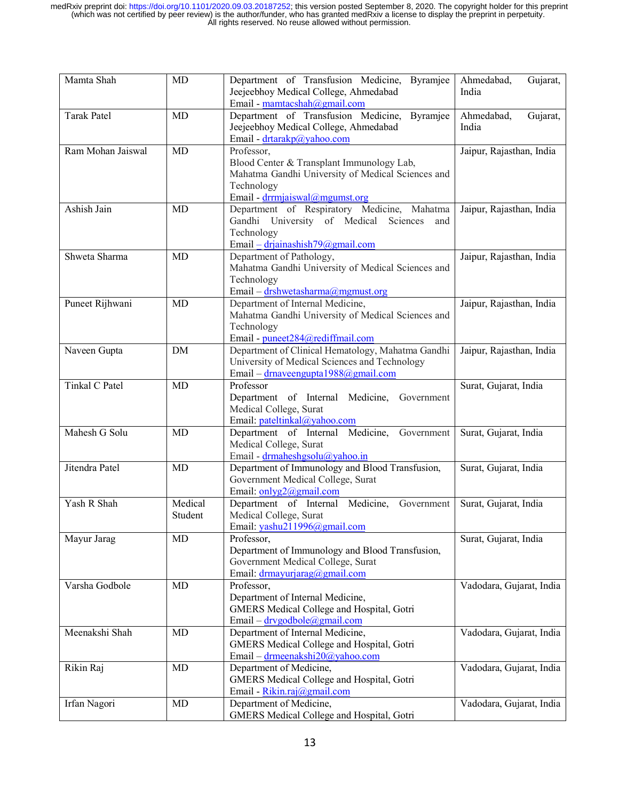| Mamta Shah         | MD                 | Department of Transfusion Medicine,<br><b>Byramjee</b><br>Jeejeebhoy Medical College, Ahmedabad<br>Email - mamtacshah@gmail.com                                      | Gujarat,<br>Ahmedabad,<br>India |
|--------------------|--------------------|----------------------------------------------------------------------------------------------------------------------------------------------------------------------|---------------------------------|
| <b>Tarak Patel</b> | MD                 | Department of Transfusion Medicine,<br>Byramjee<br>Jeejeebhoy Medical College, Ahmedabad<br>Email - drtarakp@yahoo.com                                               | Ahmedabad,<br>Gujarat,<br>India |
| Ram Mohan Jaiswal  | <b>MD</b>          | Professor,<br>Blood Center & Transplant Immunology Lab,<br>Mahatma Gandhi University of Medical Sciences and<br>Technology<br>Email - drrmjaiswal@mgumst.org         | Jaipur, Rajasthan, India        |
| Ashish Jain        | MD                 | Department of Respiratory Medicine, Mahatma<br>Gandhi University of Medical<br>Sciences<br>and<br>Technology<br>Email $-\frac{drjainashish79(\partial gmail.com)}{}$ | Jaipur, Rajasthan, India        |
| Shweta Sharma      | MD                 | Department of Pathology,<br>Mahatma Gandhi University of Medical Sciences and<br>Technology<br>Email – drshwetasharma@mgmust.org                                     | Jaipur, Rajasthan, India        |
| Puneet Rijhwani    | MD                 | Department of Internal Medicine,<br>Mahatma Gandhi University of Medical Sciences and<br>Technology<br>Email - puneet284@rediffmail.com                              | Jaipur, Rajasthan, India        |
| Naveen Gupta       | <b>DM</b>          | Department of Clinical Hematology, Mahatma Gandhi<br>University of Medical Sciences and Technology<br>Email – drnaveengupta1988@gmail.com                            | Jaipur, Rajasthan, India        |
| Tinkal C Patel     | MD                 | Professor<br>Department of Internal Medicine,<br>Government<br>Medical College, Surat<br>Email: pateltinkal@yahoo.com                                                | Surat, Gujarat, India           |
| Mahesh G Solu      | MD                 | Department of Internal Medicine,<br>Government<br>Medical College, Surat<br>Email - drmaheshgsolu@yahoo.in                                                           | Surat, Gujarat, India           |
| Jitendra Patel     | MD                 | Department of Immunology and Blood Transfusion,<br>Government Medical College, Surat<br>Email: $onlyg2@gmail.com$                                                    | Surat, Gujarat, India           |
| Yash R Shah        | Medical<br>Student | Department of Internal Medicine,<br>Government<br>Medical College, Surat<br>Email: yashu211996@gmail.com                                                             | Surat, Gujarat, India           |
| Mayur Jarag        | MD                 | Professor,<br>Department of Immunology and Blood Transfusion,<br>Government Medical College, Surat<br>Email: drmayurjarag@gmail.com                                  | Surat, Gujarat, India           |
| Varsha Godbole     | MD                 | Professor,<br>Department of Internal Medicine,<br>GMERS Medical College and Hospital, Gotri<br>Email - drvgodbole@gmail.com                                          | Vadodara, Gujarat, India        |
| Meenakshi Shah     | MD                 | Department of Internal Medicine,<br>GMERS Medical College and Hospital, Gotri<br>Email - drmeenakshi20@yahoo.com                                                     | Vadodara, Gujarat, India        |
| Rikin Raj          | MD                 | Department of Medicine,<br>GMERS Medical College and Hospital, Gotri<br>Email - Rikin.raj@gmail.com                                                                  | Vadodara, Gujarat, India        |
| Irfan Nagori       | MD                 | Department of Medicine,<br><b>GMERS Medical College and Hospital, Gotri</b>                                                                                          | Vadodara, Gujarat, India        |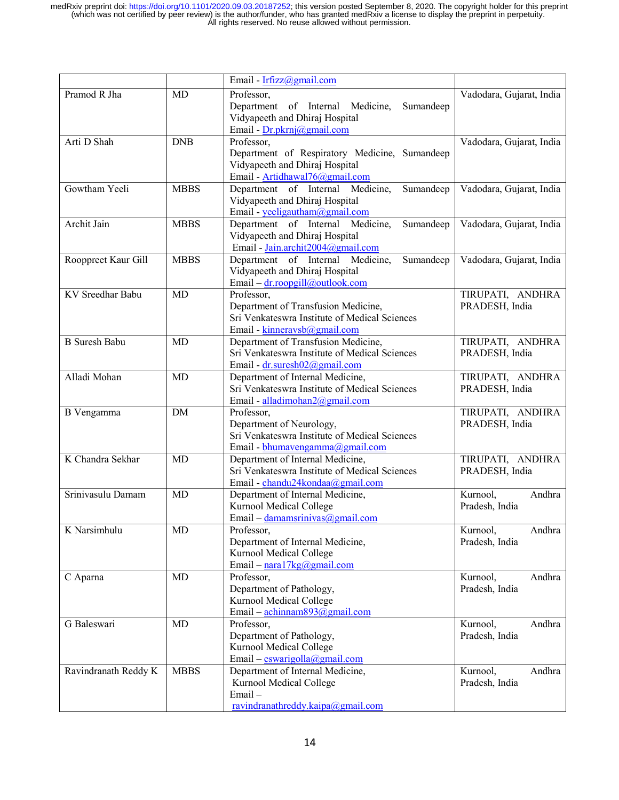|                      |             | Email - Irfizz@gmail.com                                                        |                                      |
|----------------------|-------------|---------------------------------------------------------------------------------|--------------------------------------|
| Pramod R Jha         | <b>MD</b>   | Professor,                                                                      | Vadodara, Gujarat, India             |
|                      |             | Department of Internal Medicine,<br>Sumandeep                                   |                                      |
|                      |             | Vidyapeeth and Dhiraj Hospital                                                  |                                      |
|                      |             | Email - Dr.pkrnj@gmail.com                                                      |                                      |
| Arti D Shah          | <b>DNB</b>  | Professor,                                                                      | Vadodara, Gujarat, India             |
|                      |             | Department of Respiratory Medicine, Sumandeep                                   |                                      |
|                      |             | Vidyapeeth and Dhiraj Hospital                                                  |                                      |
|                      |             | Email - Artidhawal76@gmail.com                                                  |                                      |
| Gowtham Yeeli        | <b>MBBS</b> | Department of Internal Medicine,<br>Sumandeep                                   | Vadodara, Gujarat, India             |
|                      |             | Vidyapeeth and Dhiraj Hospital                                                  |                                      |
| Archit Jain          | <b>MBBS</b> | Email - yeeligautham@gmail.com<br>Department of Internal Medicine,<br>Sumandeep | Vadodara, Gujarat, India             |
|                      |             | Vidyapeeth and Dhiraj Hospital                                                  |                                      |
|                      |             | Email - Jain.archit2004@gmail.com                                               |                                      |
| Rooppreet Kaur Gill  | <b>MBBS</b> | Department of Internal Medicine,<br>Sumandeep                                   | Vadodara, Gujarat, India             |
|                      |             | Vidyapeeth and Dhiraj Hospital                                                  |                                      |
|                      |             | Email – dr.roopgill@outlook.com                                                 |                                      |
| KV Sreedhar Babu     | <b>MD</b>   | Professor,                                                                      | TIRUPATI, ANDHRA                     |
|                      |             | Department of Transfusion Medicine,                                             | PRADESH, India                       |
|                      |             | Sri Venkateswra Institute of Medical Sciences                                   |                                      |
|                      |             | Email - kinneravsb $@g$ mail.com                                                |                                      |
| <b>B</b> Suresh Babu | MD          | Department of Transfusion Medicine,                                             | TIRUPATI, ANDHRA                     |
|                      |             | Sri Venkateswra Institute of Medical Sciences                                   | PRADESH, India                       |
|                      |             | Email - dr.suresh02@gmail.com                                                   |                                      |
| Alladi Mohan         | MD          | Department of Internal Medicine,                                                | TIRUPATI, ANDHRA                     |
|                      |             | Sri Venkateswra Institute of Medical Sciences                                   | PRADESH, India                       |
|                      |             | Email - alladimohan2@gmail.com                                                  |                                      |
| B Vengamma           | DM          | Professor,<br>Department of Neurology,                                          | TIRUPATI, ANDHRA<br>PRADESH, India   |
|                      |             | Sri Venkateswra Institute of Medical Sciences                                   |                                      |
|                      |             | Email - bhumavengamma@gmail.com                                                 |                                      |
| K Chandra Sekhar     | MD          | Department of Internal Medicine,                                                | TIRUPATI, ANDHRA                     |
|                      |             | Sri Venkateswra Institute of Medical Sciences                                   | PRADESH, India                       |
|                      |             | Email - chandu24kondaa@gmail.com                                                |                                      |
| Srinivasulu Damam    | <b>MD</b>   | Department of Internal Medicine,                                                | Andhra<br>Kurnool,                   |
|                      |             | Kurnool Medical College                                                         | Pradesh, India                       |
|                      |             | Email – damamsrinivas@gmail.com                                                 |                                      |
| K Narsimhulu         | MD          | Professor,                                                                      | Kurnool,<br>Andhra                   |
|                      |             | Department of Internal Medicine,                                                | Pradesh, India                       |
|                      |             | Kurnool Medical College                                                         |                                      |
|                      |             | Email - $\frac{\text{nara17kg}}{\text{magnasi.com}}$                            |                                      |
| C Aparna             | MD          | Professor,<br>Department of Pathology,                                          | Andhra<br>Kurnool,<br>Pradesh, India |
|                      |             | Kurnool Medical College                                                         |                                      |
|                      |             | Email – $\frac{\text{achinnam893}(a)\text{gmail.com}}{a}$                       |                                      |
| G Baleswari          | MD          | Professor,                                                                      | Andhra<br>Kurnool,                   |
|                      |             | Department of Pathology,                                                        | Pradesh, India                       |
|                      |             | Kurnool Medical College                                                         |                                      |
|                      |             | Email – eswarigolla@gmail.com                                                   |                                      |
| Ravindranath Reddy K | <b>MBBS</b> | Department of Internal Medicine,                                                | Kurnool,<br>Andhra                   |
|                      |             | Kurnool Medical College                                                         | Pradesh, India                       |
|                      |             | Email-                                                                          |                                      |
|                      |             | ravindranathreddy.kaipa@gmail.com                                               |                                      |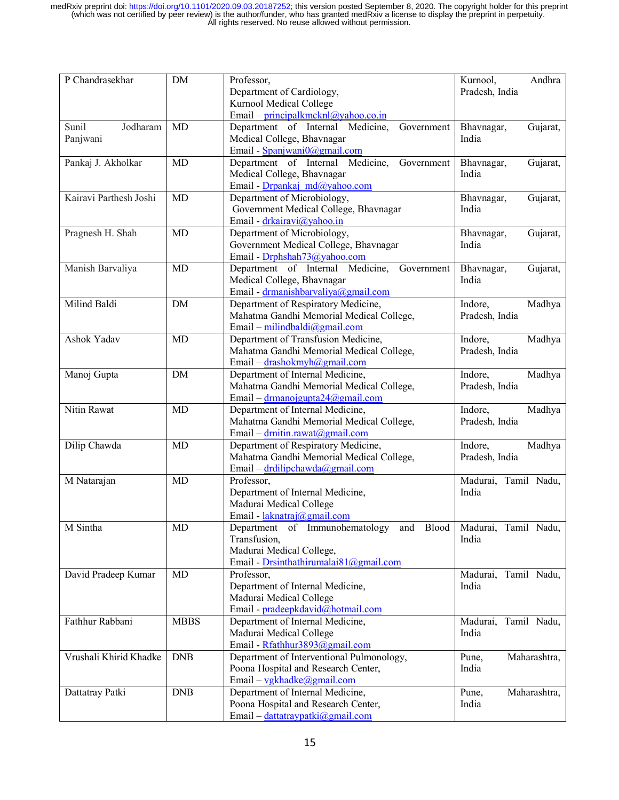| P Chandrasekhar        | DM          | Professor,                                     | Andhra<br>Kurnool,     |
|------------------------|-------------|------------------------------------------------|------------------------|
|                        |             | Department of Cardiology,                      | Pradesh, India         |
|                        |             | <b>Kurnool Medical College</b>                 |                        |
|                        |             | Email – principalkmcknl@yahoo.co.in            |                        |
| Jodharam<br>Sunil      | <b>MD</b>   | Department of Internal Medicine,<br>Government | Bhavnagar,<br>Gujarat, |
| Panjwani               |             | Medical College, Bhavnagar                     | India                  |
|                        |             | Email - Spanjwani0@gmail.com                   |                        |
| Pankaj J. Akholkar     | MD          | Department of Internal Medicine,<br>Government | Bhavnagar,<br>Gujarat, |
|                        |             | Medical College, Bhavnagar                     | India                  |
|                        |             | Email - Drpankaj md@yahoo.com                  |                        |
| Kairavi Parthesh Joshi | MD          | Department of Microbiology,                    | Bhavnagar,<br>Gujarat, |
|                        |             | Government Medical College, Bhavnagar          | India                  |
|                        |             | Email - drkairavi@yahoo.in                     |                        |
| Pragnesh H. Shah       | MD          | Department of Microbiology,                    | Bhavnagar,<br>Gujarat, |
|                        |             |                                                | India                  |
|                        |             | Government Medical College, Bhavnagar          |                        |
|                        |             | Email - Drphshah73@yahoo.com                   |                        |
| Manish Barvaliya       | <b>MD</b>   | Department of Internal Medicine,<br>Government | Bhavnagar,<br>Gujarat, |
|                        |             | Medical College, Bhavnagar                     | India                  |
|                        |             | Email - drmanishbarvaliya@gmail.com            |                        |
| Milind Baldi           | <b>DM</b>   | Department of Respiratory Medicine,            | Indore,<br>Madhya      |
|                        |             | Mahatma Gandhi Memorial Medical College,       | Pradesh, India         |
|                        |             | Email - milindbaldi@gmail.com                  |                        |
| Ashok Yadav            | <b>MD</b>   | Department of Transfusion Medicine,            | Indore,<br>Madhya      |
|                        |             | Mahatma Gandhi Memorial Medical College,       | Pradesh, India         |
|                        |             | Email - drashokmyh@gmail.com                   |                        |
| Manoj Gupta            | DM          | Department of Internal Medicine,               | Indore,<br>Madhya      |
|                        |             | Mahatma Gandhi Memorial Medical College,       | Pradesh, India         |
|                        |             | Email – $d$ rmanoj gupta $24$ @gmail.com       |                        |
| Nitin Rawat            | MD          | Department of Internal Medicine,               | Indore,<br>Madhya      |
|                        |             | Mahatma Gandhi Memorial Medical College,       | Pradesh, India         |
|                        |             | Email – $drnitin rawat@gmail.com$              |                        |
| Dilip Chawda           | MD          | Department of Respiratory Medicine,            | Indore,<br>Madhya      |
|                        |             | Mahatma Gandhi Memorial Medical College,       | Pradesh, India         |
|                        |             | Email – drdilipchawda@gmail.com                |                        |
| M Natarajan            | MD          | Professor,                                     | Madurai, Tamil Nadu,   |
|                        |             | Department of Internal Medicine,               | India                  |
|                        |             | Madurai Medical College                        |                        |
|                        |             | Email - laknatraj@gmail.com                    |                        |
| M Sintha               | MD          | Department of Immunohematology and Blood       |                        |
|                        |             |                                                | Madurai, Tamil Nadu,   |
|                        |             | Transfusion,                                   | India                  |
|                        |             | Madurai Medical College,                       |                        |
|                        |             | Email - Drsinthathirumalai81@gmail.com         |                        |
| David Pradeep Kumar    | MD          | Professor,                                     | Madurai, Tamil Nadu,   |
|                        |             | Department of Internal Medicine,               | India                  |
|                        |             | Madurai Medical College                        |                        |
|                        |             | Email - pradeepkdavid@hotmail.com              |                        |
| Fathhur Rabbani        | <b>MBBS</b> | Department of Internal Medicine,               | Madurai, Tamil Nadu,   |
|                        |             | Madurai Medical College                        | India                  |
|                        |             | Email - Rfathhur3893@gmail.com                 |                        |
| Vrushali Khirid Khadke | <b>DNB</b>  | Department of Interventional Pulmonology,      | Pune,<br>Maharashtra,  |
|                        |             | Poona Hospital and Research Center,            | India                  |
|                        |             | Email - vgkhadke@gmail.com                     |                        |
| Dattatray Patki        | <b>DNB</b>  | Department of Internal Medicine,               | Pune,<br>Maharashtra,  |
|                        |             | Poona Hospital and Research Center,            | India                  |
|                        |             | Email - dattatraypatki@gmail.com               |                        |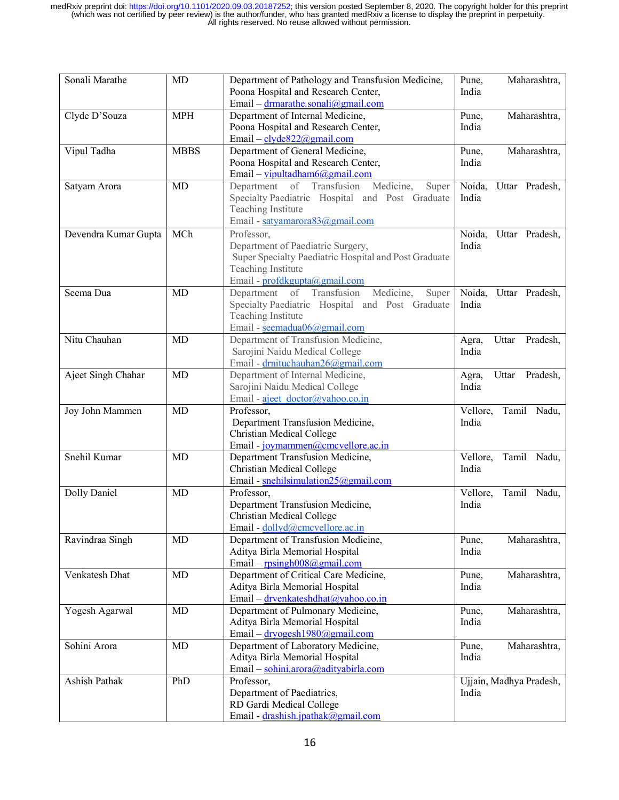| Sonali Marathe       | MD          | Department of Pathology and Transfusion Medicine,<br>Pune,<br>Poona Hospital and Research Center,<br>India<br>Email – drmarathe.sonali@gmail.com                |                   | Maharashtra,            |  |
|----------------------|-------------|-----------------------------------------------------------------------------------------------------------------------------------------------------------------|-------------------|-------------------------|--|
| Clyde D'Souza        | <b>MPH</b>  | Department of Internal Medicine,<br>Poona Hospital and Research Center,<br>Email - clyde822@gmail.com                                                           | Pune,<br>India    | Maharashtra,            |  |
| Vipul Tadha          | <b>MBBS</b> | Department of General Medicine,<br>Poona Hospital and Research Center,<br>Email - vipultadham6@gmail.com                                                        | Pune,<br>India    | Maharashtra,            |  |
| Satyam Arora         | MD          | Department of Transfusion Medicine,<br>Super<br>Specialty Paediatric Hospital and Post Graduate<br>Teaching Institute<br>Email - satyamarora83@gmail.com        | Noida,<br>India   | Uttar Pradesh,          |  |
| Devendra Kumar Gupta | MCh         | Professor,<br>Department of Paediatric Surgery,<br>Super Specialty Paediatric Hospital and Post Graduate<br>Teaching Institute<br>Email - profdkgupta@gmail.com | India             | Noida, Uttar Pradesh,   |  |
| Seema Dua            | MD          | Department of Transfusion<br>Medicine,<br>Super<br>Specialty Paediatric Hospital and Post Graduate<br>Teaching Institute<br>Email - seemadua06@gmail.com        | Noida,<br>India   | Uttar Pradesh,          |  |
| Nitu Chauhan         | MD          | Department of Transfusion Medicine,<br>Sarojini Naidu Medical College<br>Email - drnituchauhan26@gmail.com                                                      | Agra,<br>India    | Uttar<br>Pradesh,       |  |
| Ajeet Singh Chahar   | MD          | Department of Internal Medicine,<br>Sarojini Naidu Medical College<br>Email - ajeet doctor@yahoo.co.in                                                          | Agra,<br>India    | Uttar<br>Pradesh,       |  |
| Joy John Mammen      | MD          | Professor,<br>Department Transfusion Medicine,<br>Christian Medical College<br>Email - joymammen@cmcvellore.ac.in                                               | Vellore,<br>India | Tamil Nadu,             |  |
| Snehil Kumar         | <b>MD</b>   | Department Transfusion Medicine,<br>Christian Medical College<br>Email - snehilsimulation25@gmail.com                                                           | Vellore,<br>India | Tamil Nadu,             |  |
| Dolly Daniel         | MD          | Professor,<br>Department Transfusion Medicine,<br>Christian Medical College<br>Email - dollyd@cmcvellore.ac.in                                                  | Vellore,<br>India | Tamil Nadu,             |  |
| Ravindraa Singh      | MD          | Department of Transfusion Medicine,<br>Aditya Birla Memorial Hospital<br>Email - $rpsingh008@gmail.com$                                                         | Pune,<br>India    | Maharashtra,            |  |
| Venkatesh Dhat       | MD          | Department of Critical Care Medicine,<br>Aditya Birla Memorial Hospital<br>Email – drvenkateshdhat@yahoo.co.in                                                  | Pune,<br>India    | Maharashtra,            |  |
| Yogesh Agarwal       | MD          | Department of Pulmonary Medicine,<br>Aditya Birla Memorial Hospital<br>Email – dryogesh1980@gmail.com                                                           | Pune,<br>India    | Maharashtra,            |  |
| Sohini Arora         | MD          | Department of Laboratory Medicine,<br>Aditya Birla Memorial Hospital<br>Email - sohini.arora@adityabirla.com                                                    | Pune,<br>India    | Maharashtra,            |  |
| Ashish Pathak        | PhD         | Professor,<br>Department of Paediatrics,<br>RD Gardi Medical College<br>Email - drashish.jpathak@gmail.com                                                      | India             | Ujjain, Madhya Pradesh, |  |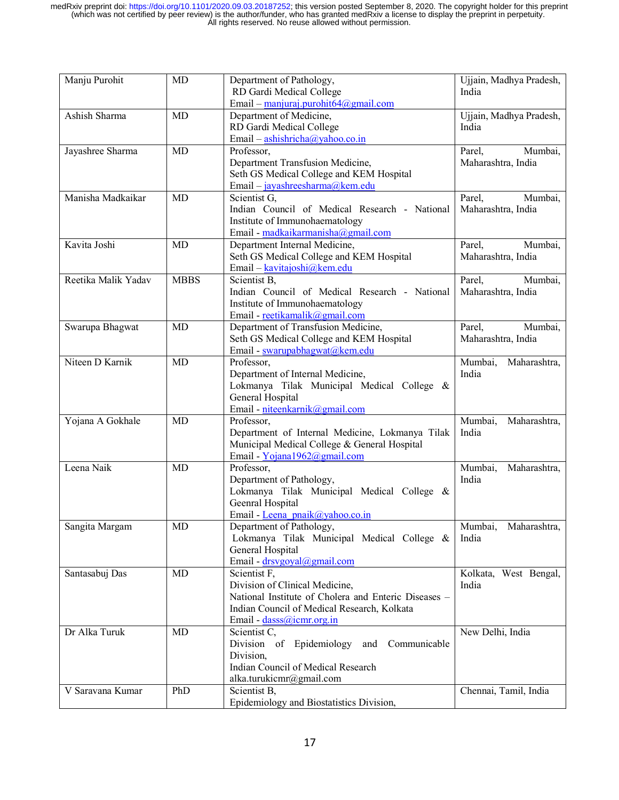| Manju Purohit       | MD          | Department of Pathology,<br>RD Gardi Medical College<br>Email – manjuraj.purohit $64$ @gmail.com                                                                                   | Ujjain, Madhya Pradesh,<br>India        |  |
|---------------------|-------------|------------------------------------------------------------------------------------------------------------------------------------------------------------------------------------|-----------------------------------------|--|
| Ashish Sharma       | <b>MD</b>   | Department of Medicine,<br>RD Gardi Medical College<br>Email – $\frac{a \sinh r \sinh a}{a}$ yahoo.co.in                                                                           | Ujjain, Madhya Pradesh,<br>India        |  |
| Jayashree Sharma    | MD          | Professor,<br>Department Transfusion Medicine,<br>Seth GS Medical College and KEM Hospital<br>Email - jayashreesharma@kem.edu                                                      | Mumbai,<br>Parel,<br>Maharashtra, India |  |
| Manisha Madkaikar   | MD          | Scientist G,<br>Indian Council of Medical Research - National<br>Institute of Immunohaematology<br>Email - madkaikarmanisha@gmail.com                                              | Parel,<br>Mumbai,<br>Maharashtra, India |  |
| Kavita Joshi        | <b>MD</b>   | Department Internal Medicine,<br>Seth GS Medical College and KEM Hospital<br>Email - kavitajoshi@kem.edu                                                                           | Parel,<br>Mumbai,<br>Maharashtra, India |  |
| Reetika Malik Yadav | <b>MBBS</b> | Scientist B,<br>Indian Council of Medical Research - National<br>Institute of Immunohaematology<br>Email - reetikamalik@gmail.com                                                  | Parel,<br>Mumbai,<br>Maharashtra, India |  |
| Swarupa Bhagwat     | MD          | Department of Transfusion Medicine,<br>Seth GS Medical College and KEM Hospital<br>Email - swarupabhagwat@kem.edu                                                                  | Mumbai,<br>Parel.<br>Maharashtra, India |  |
| Niteen D Karnik     | <b>MD</b>   | Professor,<br>Department of Internal Medicine,<br>Lokmanya Tilak Municipal Medical College &<br>General Hospital<br>Email - niteenkarnik@gmail.com                                 | Mumbai,<br>Maharashtra,<br>India        |  |
| Yojana A Gokhale    | MD          | Professor,<br>Department of Internal Medicine, Lokmanya Tilak<br>Municipal Medical College & General Hospital<br>Email - Yojana1962@gmail.com                                      | Mumbai,<br>Maharashtra,<br>India        |  |
| Leena Naik          | <b>MD</b>   | Professor,<br>Department of Pathology,<br>Lokmanya Tilak Municipal Medical College &<br>Geenral Hospital<br>Email - Leena pnaik@yahoo.co.in                                        | Mumbai,<br>Maharashtra,<br>India        |  |
| Sangita Margam      | MD          | Department of Pathology,<br>Lokmanya Tilak Municipal Medical College &<br>General Hospital<br>Email - drsvgoyal@gmail.com                                                          | Mumbai,<br>Maharashtra,<br>India        |  |
| Santasabuj Das      | MD          | Scientist F,<br>Division of Clinical Medicine,<br>National Institute of Cholera and Enteric Diseases -<br>Indian Council of Medical Research, Kolkata<br>Email - dasss@icmr.org.in | Kolkata, West Bengal,<br>India          |  |
| Dr Alka Turuk       | MD          | Scientist C,<br>Division of Epidemiology<br>Communicable<br>and<br>Division,<br>Indian Council of Medical Research<br>alka.turukicmr@gmail.com                                     | New Delhi, India                        |  |
| V Saravana Kumar    | PhD         | Scientist B,<br>Epidemiology and Biostatistics Division,                                                                                                                           | Chennai, Tamil, India                   |  |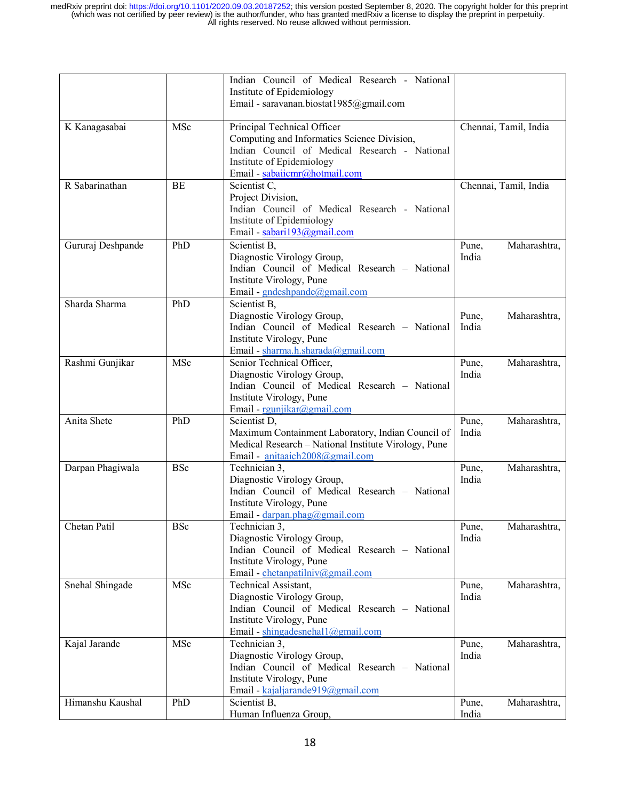|                   |            | Indian Council of Medical Research - National<br>Institute of Epidemiology<br>Email - saravanan.biostat1985@gmail.com                                                                     |                                |
|-------------------|------------|-------------------------------------------------------------------------------------------------------------------------------------------------------------------------------------------|--------------------------------|
| K Kanagasabai     | MSc        | Principal Technical Officer<br>Computing and Informatics Science Division,<br>Indian Council of Medical Research - National<br>Institute of Epidemiology<br>Email - sabaiicmr@hotmail.com | Chennai, Tamil, India          |
| R Sabarinathan    | <b>BE</b>  | Scientist C,<br>Project Division,<br>Indian Council of Medical Research - National<br>Institute of Epidemiology<br>Email - sabari193@gmail.com                                            | Chennai, Tamil, India          |
| Gururaj Deshpande | PhD        | Scientist B,<br>Diagnostic Virology Group,<br>Indian Council of Medical Research - National<br>Institute Virology, Pune<br>Email - gndeshpande@gmail.com                                  | Maharashtra,<br>Pune,<br>India |
| Sharda Sharma     | PhD        | Scientist B,<br>Diagnostic Virology Group,<br>Indian Council of Medical Research - National<br>Institute Virology, Pune<br>Email - sharma.h.sharada@gmail.com                             | Maharashtra,<br>Pune,<br>India |
| Rashmi Gunjikar   | MSc        | Senior Technical Officer,<br>Diagnostic Virology Group,<br>Indian Council of Medical Research - National<br>Institute Virology, Pune<br>Email - rgunjikar@gmail.com                       | Maharashtra,<br>Pune,<br>India |
| Anita Shete       | PhD        | Scientist D,<br>Maximum Containment Laboratory, Indian Council of<br>Medical Research - National Institute Virology, Pune<br>Email - anitaaich2008@gmail.com                              | Maharashtra,<br>Pune,<br>India |
| Darpan Phagiwala  | <b>BSc</b> | Technician 3,<br>Diagnostic Virology Group,<br>Indian Council of Medical Research - National<br>Institute Virology, Pune<br>Email - darpan.phag@gmail.com                                 | Maharashtra,<br>Pune,<br>India |
| Chetan Patil      | <b>BSc</b> | Technician 3,<br>Diagnostic Virology Group,<br>Indian Council of Medical Research - National<br>Institute Virology, Pune<br>Email - chetanpatilniv@gmail.com                              | Pune,<br>Maharashtra,<br>India |
| Snehal Shingade   | MSc        | Technical Assistant,<br>Diagnostic Virology Group,<br>Indian Council of Medical Research - National<br>Institute Virology, Pune<br>Email - shingadesnehall@gmail.com                      | Maharashtra,<br>Pune,<br>India |
| Kajal Jarande     | MSc        | Technician 3,<br>Diagnostic Virology Group,<br>Indian Council of Medical Research - National<br>Institute Virology, Pune<br>Email - kajaljarande919@gmail.com                             | Maharashtra,<br>Pune,<br>India |
| Himanshu Kaushal  | PhD        | Scientist B,<br>Human Influenza Group,                                                                                                                                                    | Maharashtra,<br>Pune,<br>India |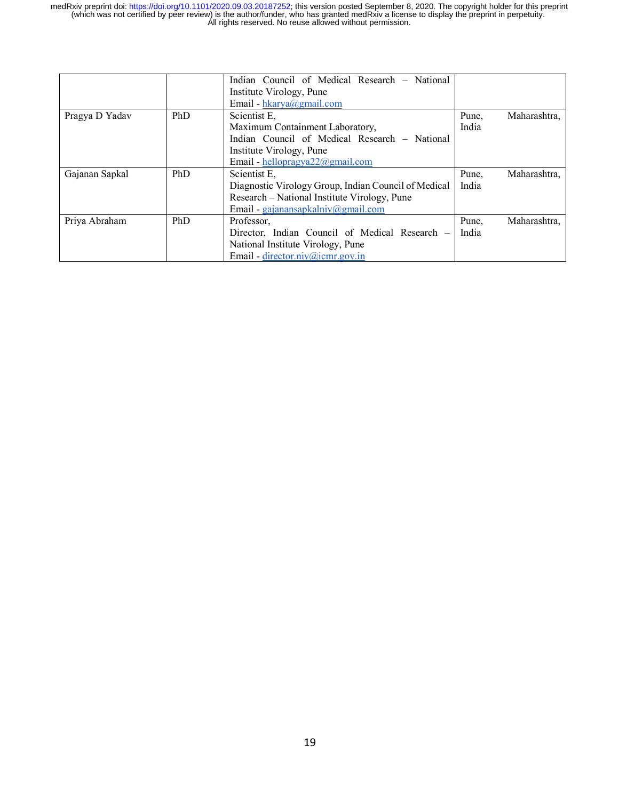|                |     | Indian Council of Medical Research - National        |       |              |
|----------------|-----|------------------------------------------------------|-------|--------------|
|                |     | Institute Virology, Pune                             |       |              |
|                |     | Email - hkarya@gmail.com                             |       |              |
| Pragya D Yadav | PhD | Scientist E.                                         | Pune. | Maharashtra, |
|                |     | Maximum Containment Laboratory,                      | India |              |
|                |     | Indian Council of Medical Research - National        |       |              |
|                |     | Institute Virology, Pune                             |       |              |
|                |     | Email - hellopragya $22@$ gmail.com                  |       |              |
| Gajanan Sapkal | PhD | Scientist E.                                         | Pune. | Maharashtra, |
|                |     | Diagnostic Virology Group, Indian Council of Medical | India |              |
|                |     | Research – National Institute Virology, Pune         |       |              |
|                |     | Email - gajanansapkalniv@gmail.com                   |       |              |
| Priya Abraham  | PhD | Professor,                                           | Pune, | Maharashtra, |
|                |     | Director, Indian Council of Medical Research -       | India |              |
|                |     | National Institute Virology, Pune                    |       |              |
|                |     | Email - director.niv@icmr.gov.in                     |       |              |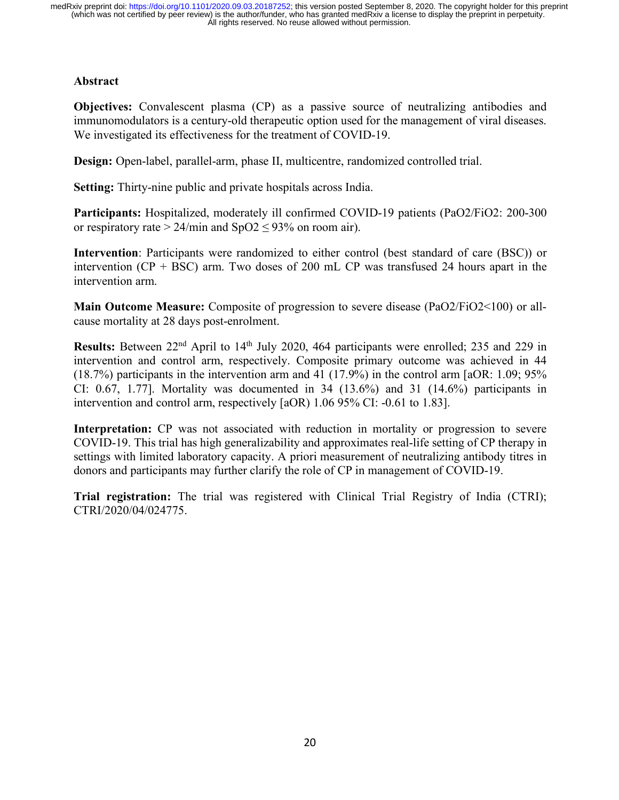## **Abstract**

**Objectives:** Convalescent plasma (CP) as a passive source of neutralizing antibodies and immunomodulators is a century-old therapeutic option used for the management of viral diseases. We investigated its effectiveness for the treatment of COVID-19.

**Design:** Open-label, parallel-arm, phase II, multicentre, randomized controlled trial.

**Setting:** Thirty-nine public and private hospitals across India.

**Participants:** Hospitalized, moderately ill confirmed COVID-19 patients (PaO2/FiO2: 200-300 or respiratory rate >  $24/\text{min}$  and  $SpO2 \leq 93\%$  on room air).

**Intervention**: Participants were randomized to either control (best standard of care (BSC)) or intervention  $(CP + BSC)$  arm. Two doses of 200 mL  $CP$  was transfused 24 hours apart in the intervention arm.

**Main Outcome Measure:** Composite of progression to severe disease (PaO2/FiO2<100) or allcause mortality at 28 days post-enrolment.

**Results:** Between 22<sup>nd</sup> April to 14<sup>th</sup> July 2020, 464 participants were enrolled; 235 and 229 in intervention and control arm, respectively. Composite primary outcome was achieved in 44 (18.7%) participants in the intervention arm and 41 (17.9%) in the control arm [aOR: 1.09; 95% CI: 0.67, 1.77]. Mortality was documented in 34 (13.6%) and 31 (14.6%) participants in intervention and control arm, respectively [aOR) 1.06 95% CI: -0.61 to 1.83].

Interpretation: CP was not associated with reduction in mortality or progression to severe COVID-19. This trial has high generalizability and approximates real-life setting of CP therapy in settings with limited laboratory capacity. A priori measurement of neutralizing antibody titres in donors and participants may further clarify the role of CP in management of COVID-19.

**Trial registration:** The trial was registered with Clinical Trial Registry of India (CTRI); CTRI/2020/04/024775.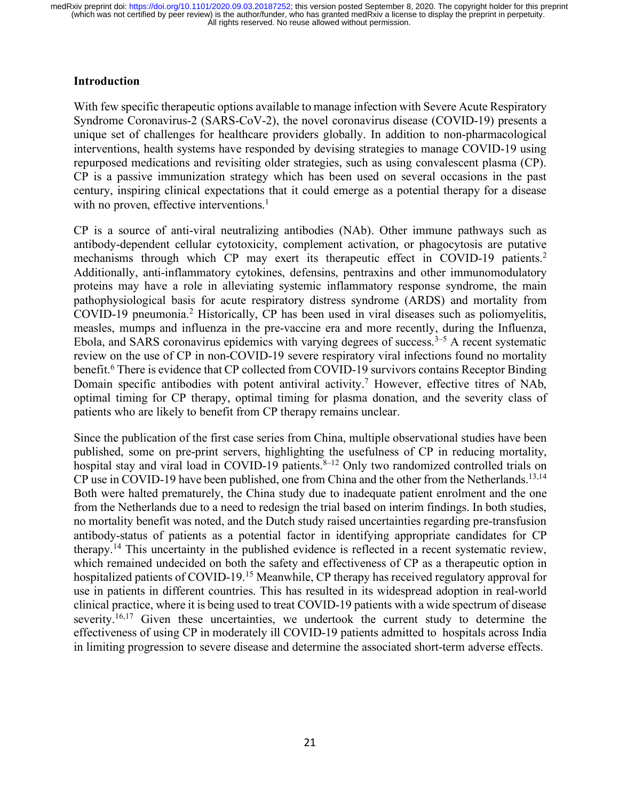## **Introduction**

With few specific therapeutic options available to manage infection with Severe Acute Respiratory Syndrome Coronavirus-2 (SARS-CoV-2), the novel coronavirus disease (COVID-19) presents a unique set of challenges for healthcare providers globally. In addition to non-pharmacological interventions, health systems have responded by devising strategies to manage COVID-19 using repurposed medications and revisiting older strategies, such as using convalescent plasma (CP). CP is a passive immunization strategy which has been used on several occasions in the past century, inspiring clinical expectations that it could emerge as a potential therapy for a disease with no proven, effective interventions. $<sup>1</sup>$ </sup>

CP is a source of anti-viral neutralizing antibodies (NAb). Other immune pathways such as antibody-dependent cellular cytotoxicity, complement activation, or phagocytosis are putative mechanisms through which CP may exert its therapeutic effect in COVID-19 patients.<sup>2</sup> Additionally, anti-inflammatory cytokines, defensins, pentraxins and other immunomodulatory proteins may have a role in alleviating systemic inflammatory response syndrome, the main pathophysiological basis for acute respiratory distress syndrome (ARDS) and mortality from COVID-19 pneumonia.2 Historically, CP has been used in viral diseases such as poliomyelitis, measles, mumps and influenza in the pre-vaccine era and more recently, during the Influenza, Ebola, and SARS coronavirus epidemics with varying degrees of success.<sup>3–5</sup> A recent systematic review on the use of CP in non-COVID-19 severe respiratory viral infections found no mortality benefit.6 There is evidence that CP collected from COVID-19 survivors contains Receptor Binding Domain specific antibodies with potent antiviral activity.<sup>7</sup> However, effective titres of NAb, optimal timing for CP therapy, optimal timing for plasma donation, and the severity class of patients who are likely to benefit from CP therapy remains unclear.

Since the publication of the first case series from China, multiple observational studies have been published, some on pre-print servers, highlighting the usefulness of CP in reducing mortality, hospital stay and viral load in COVID-19 patients.<sup>8-12</sup> Only two randomized controlled trials on CP use in COVID-19 have been published, one from China and the other from the Netherlands.<sup>13,14</sup> Both were halted prematurely, the China study due to inadequate patient enrolment and the one from the Netherlands due to a need to redesign the trial based on interim findings. In both studies, no mortality benefit was noted, and the Dutch study raised uncertainties regarding pre-transfusion antibody-status of patients as a potential factor in identifying appropriate candidates for CP therapy.14 This uncertainty in the published evidence is reflected in a recent systematic review, which remained undecided on both the safety and effectiveness of CP as a therapeutic option in hospitalized patients of COVID-19.<sup>15</sup> Meanwhile, CP therapy has received regulatory approval for use in patients in different countries. This has resulted in its widespread adoption in real-world clinical practice, where it is being used to treat COVID-19 patients with a wide spectrum of disease severity.<sup>16,17</sup> Given these uncertainties, we undertook the current study to determine the effectiveness of using CP in moderately ill COVID-19 patients admitted to hospitals across India in limiting progression to severe disease and determine the associated short-term adverse effects.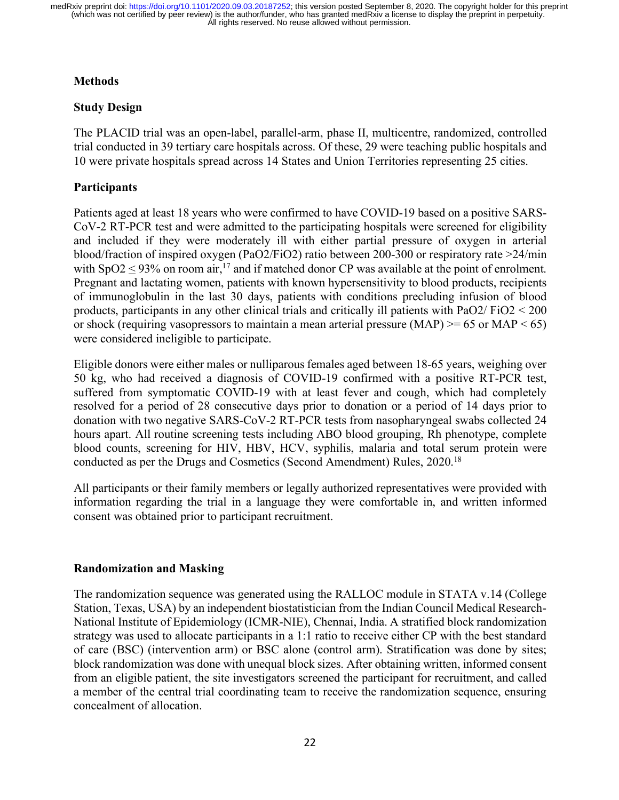## **Methods**

## **Study Design**

The PLACID trial was an open-label, parallel-arm, phase II, multicentre, randomized, controlled trial conducted in 39 tertiary care hospitals across. Of these, 29 were teaching public hospitals and 10 were private hospitals spread across 14 States and Union Territories representing 25 cities.

## **Participants**

Patients aged at least 18 years who were confirmed to have COVID-19 based on a positive SARS-CoV-2 RT-PCR test and were admitted to the participating hospitals were screened for eligibility and included if they were moderately ill with either partial pressure of oxygen in arterial blood/fraction of inspired oxygen (PaO2/FiO2) ratio between 200-300 or respiratory rate >24/min with  $SpO2 < 93\%$  on room air,<sup>17</sup> and if matched donor CP was available at the point of enrolment. Pregnant and lactating women, patients with known hypersensitivity to blood products, recipients of immunoglobulin in the last 30 days, patients with conditions precluding infusion of blood products, participants in any other clinical trials and critically ill patients with PaO2/ FiO2 < 200 or shock (requiring vasopressors to maintain a mean arterial pressure  $(MAP) \ge 65$  or  $MAP \le 65$ ) were considered ineligible to participate.

Eligible donors were either males or nulliparous females aged between 18-65 years, weighing over 50 kg, who had received a diagnosis of COVID-19 confirmed with a positive RT-PCR test, suffered from symptomatic COVID-19 with at least fever and cough, which had completely resolved for a period of 28 consecutive days prior to donation or a period of 14 days prior to donation with two negative SARS-CoV-2 RT-PCR tests from nasopharyngeal swabs collected 24 hours apart. All routine screening tests including ABO blood grouping, Rh phenotype, complete blood counts, screening for HIV, HBV, HCV, syphilis, malaria and total serum protein were conducted as per the Drugs and Cosmetics (Second Amendment) Rules, 2020.18

All participants or their family members or legally authorized representatives were provided with information regarding the trial in a language they were comfortable in, and written informed consent was obtained prior to participant recruitment.

## **Randomization and Masking**

The randomization sequence was generated using the RALLOC module in STATA v.14 (College Station, Texas, USA) by an independent biostatistician from the Indian Council Medical Research-National Institute of Epidemiology (ICMR-NIE), Chennai, India. A stratified block randomization strategy was used to allocate participants in a 1:1 ratio to receive either CP with the best standard of care (BSC) (intervention arm) or BSC alone (control arm). Stratification was done by sites; block randomization was done with unequal block sizes. After obtaining written, informed consent from an eligible patient, the site investigators screened the participant for recruitment, and called a member of the central trial coordinating team to receive the randomization sequence, ensuring concealment of allocation.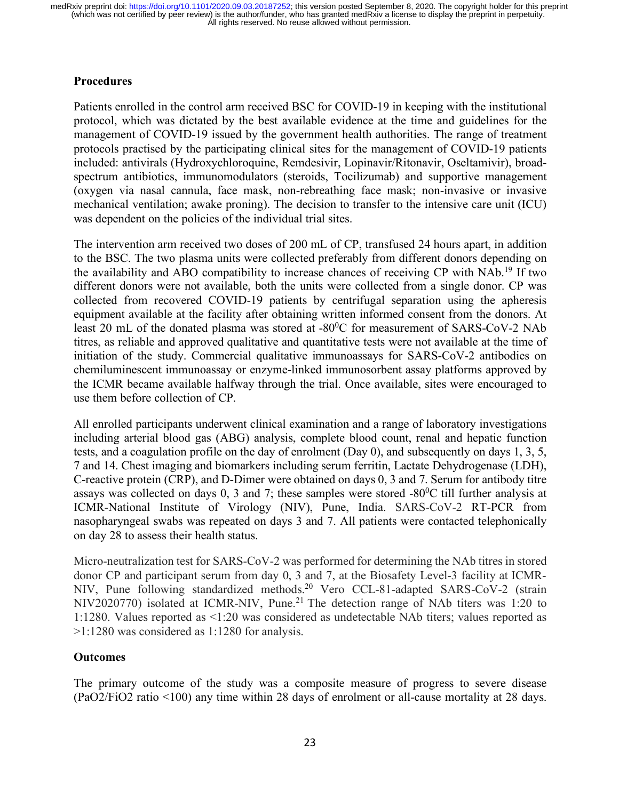## **Procedures**

Patients enrolled in the control arm received BSC for COVID-19 in keeping with the institutional protocol, which was dictated by the best available evidence at the time and guidelines for the management of COVID-19 issued by the government health authorities. The range of treatment protocols practised by the participating clinical sites for the management of COVID-19 patients included: antivirals (Hydroxychloroquine, Remdesivir, Lopinavir/Ritonavir, Oseltamivir), broadspectrum antibiotics, immunomodulators (steroids, Tocilizumab) and supportive management (oxygen via nasal cannula, face mask, non-rebreathing face mask; non-invasive or invasive mechanical ventilation; awake proning). The decision to transfer to the intensive care unit (ICU) was dependent on the policies of the individual trial sites.

The intervention arm received two doses of 200 mL of CP, transfused 24 hours apart, in addition to the BSC. The two plasma units were collected preferably from different donors depending on the availability and ABO compatibility to increase chances of receiving CP with NAb.19 If two different donors were not available, both the units were collected from a single donor. CP was collected from recovered COVID-19 patients by centrifugal separation using the apheresis equipment available at the facility after obtaining written informed consent from the donors. At least 20 mL of the donated plasma was stored at -80<sup>0</sup>C for measurement of SARS-CoV-2 NAb titres, as reliable and approved qualitative and quantitative tests were not available at the time of initiation of the study. Commercial qualitative immunoassays for SARS-CoV-2 antibodies on chemiluminescent immunoassay or enzyme-linked immunosorbent assay platforms approved by the ICMR became available halfway through the trial. Once available, sites were encouraged to use them before collection of CP.

All enrolled participants underwent clinical examination and a range of laboratory investigations including arterial blood gas (ABG) analysis, complete blood count, renal and hepatic function tests, and a coagulation profile on the day of enrolment (Day 0), and subsequently on days 1, 3, 5, 7 and 14. Chest imaging and biomarkers including serum ferritin, Lactate Dehydrogenase (LDH), C-reactive protein (CRP), and D-Dimer were obtained on days 0, 3 and 7. Serum for antibody titre assays was collected on days  $0$ ,  $3$  and  $7$ ; these samples were stored -80 $^{\circ}$ C till further analysis at ICMR-National Institute of Virology (NIV), Pune, India. SARS-CoV-2 RT-PCR from nasopharyngeal swabs was repeated on days 3 and 7. All patients were contacted telephonically on day 28 to assess their health status.

Micro-neutralization test for SARS-CoV-2 was performed for determining the NAb titres in stored donor CP and participant serum from day 0, 3 and 7, at the Biosafety Level-3 facility at ICMR-NIV, Pune following standardized methods.<sup>20</sup> Vero CCL-81-adapted SARS-CoV-2 (strain NIV2020770) isolated at ICMR-NIV, Pune.<sup>21</sup> The detection range of NAb titers was 1:20 to 1:1280. Values reported as <1:20 was considered as undetectable NAb titers; values reported as >1:1280 was considered as 1:1280 for analysis.

## **Outcomes**

The primary outcome of the study was a composite measure of progress to severe disease (PaO2/FiO2 ratio <100) any time within 28 days of enrolment or all-cause mortality at 28 days.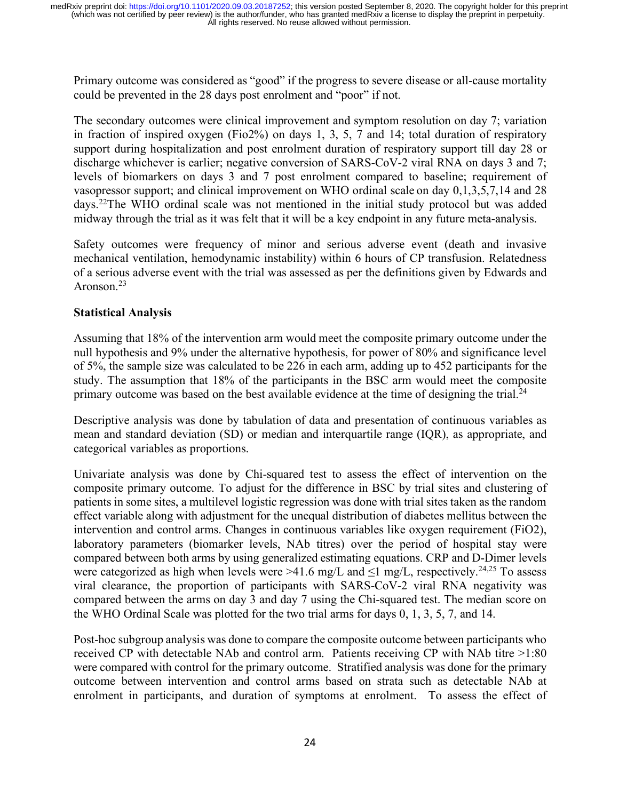Primary outcome was considered as "good" if the progress to severe disease or all-cause mortality could be prevented in the 28 days post enrolment and "poor" if not.

The secondary outcomes were clinical improvement and symptom resolution on day 7; variation in fraction of inspired oxygen (Fio2%) on days 1, 3, 5, 7 and 14; total duration of respiratory support during hospitalization and post enrolment duration of respiratory support till day 28 or discharge whichever is earlier; negative conversion of SARS-CoV-2 viral RNA on days 3 and 7; levels of biomarkers on days 3 and 7 post enrolment compared to baseline; requirement of vasopressor support; and clinical improvement on WHO ordinal scale on day 0,1,3,5,7,14 and 28 days.22 The WHO ordinal scale was not mentioned in the initial study protocol but was added midway through the trial as it was felt that it will be a key endpoint in any future meta-analysis.

Safety outcomes were frequency of minor and serious adverse event (death and invasive mechanical ventilation, hemodynamic instability) within 6 hours of CP transfusion. Relatedness of a serious adverse event with the trial was assessed as per the definitions given by Edwards and Aronson<sup>23</sup>

## **Statistical Analysis**

Assuming that 18% of the intervention arm would meet the composite primary outcome under the null hypothesis and 9% under the alternative hypothesis, for power of 80% and significance level of 5%, the sample size was calculated to be 226 in each arm, adding up to 452 participants for the study. The assumption that 18% of the participants in the BSC arm would meet the composite primary outcome was based on the best available evidence at the time of designing the trial.<sup>24</sup>

Descriptive analysis was done by tabulation of data and presentation of continuous variables as mean and standard deviation (SD) or median and interquartile range (IQR), as appropriate, and categorical variables as proportions.

Univariate analysis was done by Chi-squared test to assess the effect of intervention on the composite primary outcome. To adjust for the difference in BSC by trial sites and clustering of patients in some sites, a multilevel logistic regression was done with trial sites taken as the random effect variable along with adjustment for the unequal distribution of diabetes mellitus between the intervention and control arms. Changes in continuous variables like oxygen requirement (FiO2), laboratory parameters (biomarker levels, NAb titres) over the period of hospital stay were compared between both arms by using generalized estimating equations. CRP and D-Dimer levels were categorized as high when levels were >41.6 mg/L and  $\leq$ 1 mg/L, respectively.<sup>24,25</sup> To assess viral clearance, the proportion of participants with SARS-CoV-2 viral RNA negativity was compared between the arms on day 3 and day 7 using the Chi-squared test. The median score on the WHO Ordinal Scale was plotted for the two trial arms for days 0, 1, 3, 5, 7, and 14.

Post-hoc subgroup analysis was done to compare the composite outcome between participants who received CP with detectable NAb and control arm. Patients receiving CP with NAb titre >1:80 were compared with control for the primary outcome. Stratified analysis was done for the primary outcome between intervention and control arms based on strata such as detectable NAb at enrolment in participants, and duration of symptoms at enrolment. To assess the effect of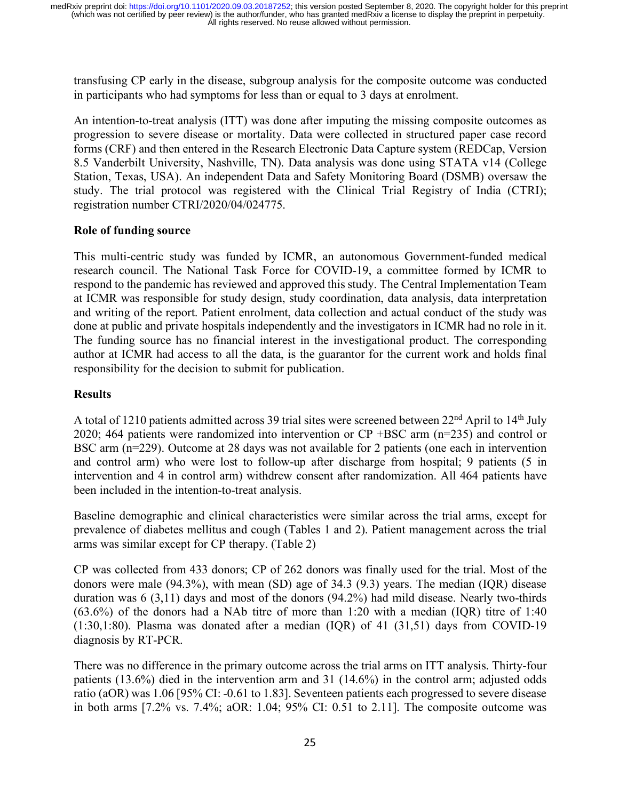transfusing CP early in the disease, subgroup analysis for the composite outcome was conducted in participants who had symptoms for less than or equal to 3 days at enrolment.

An intention-to-treat analysis (ITT) was done after imputing the missing composite outcomes as progression to severe disease or mortality. Data were collected in structured paper case record forms (CRF) and then entered in the Research Electronic Data Capture system (REDCap, Version 8.5 Vanderbilt University, Nashville, TN). Data analysis was done using STATA v14 (College Station, Texas, USA). An independent Data and Safety Monitoring Board (DSMB) oversaw the study. The trial protocol was registered with the Clinical Trial Registry of India (CTRI); registration number CTRI/2020/04/024775.

## **Role of funding source**

This multi-centric study was funded by ICMR, an autonomous Government-funded medical research council. The National Task Force for COVID-19, a committee formed by ICMR to respond to the pandemic has reviewed and approved this study. The Central Implementation Team at ICMR was responsible for study design, study coordination, data analysis, data interpretation and writing of the report. Patient enrolment, data collection and actual conduct of the study was done at public and private hospitals independently and the investigators in ICMR had no role in it. The funding source has no financial interest in the investigational product. The corresponding author at ICMR had access to all the data, is the guarantor for the current work and holds final responsibility for the decision to submit for publication.

#### **Results**

A total of 1210 patients admitted across 39 trial sites were screened between 22<sup>nd</sup> April to 14<sup>th</sup> July 2020; 464 patients were randomized into intervention or CP +BSC arm (n=235) and control or BSC arm (n=229). Outcome at 28 days was not available for 2 patients (one each in intervention and control arm) who were lost to follow-up after discharge from hospital; 9 patients (5 in intervention and 4 in control arm) withdrew consent after randomization. All 464 patients have been included in the intention-to-treat analysis.

Baseline demographic and clinical characteristics were similar across the trial arms, except for prevalence of diabetes mellitus and cough (Tables 1 and 2). Patient management across the trial arms was similar except for CP therapy. (Table 2)

CP was collected from 433 donors; CP of 262 donors was finally used for the trial. Most of the donors were male (94.3%), with mean (SD) age of 34.3 (9.3) years. The median (IQR) disease duration was 6 (3,11) days and most of the donors (94.2%) had mild disease. Nearly two-thirds (63.6%) of the donors had a NAb titre of more than 1:20 with a median (IQR) titre of 1:40 (1:30,1:80). Plasma was donated after a median (IQR) of 41 (31,51) days from COVID-19 diagnosis by RT-PCR.

There was no difference in the primary outcome across the trial arms on ITT analysis. Thirty-four patients (13.6%) died in the intervention arm and 31 (14.6%) in the control arm; adjusted odds ratio (aOR) was 1.06 [95% CI: -0.61 to 1.83]. Seventeen patients each progressed to severe disease in both arms [7.2% vs. 7.4%; aOR: 1.04; 95% CI: 0.51 to 2.11]. The composite outcome was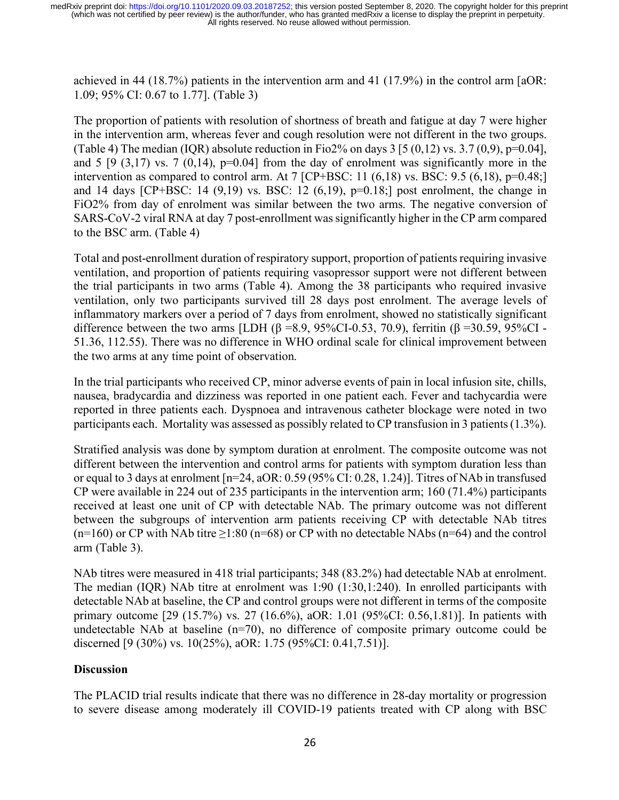achieved in 44 (18.7%) patients in the intervention arm and 41 (17.9%) in the control arm [aOR: 1.09; 95% CI: 0.67 to 1.77]. (Table 3)

The proportion of patients with resolution of shortness of breath and fatigue at day 7 were higher in the intervention arm, whereas fever and cough resolution were not different in the two groups. (Table 4) The median (IQR) absolute reduction in Fio2% on days  $3\left[5\left(0,12\right)$  vs.  $3.7\left(0,9\right), p=0.04\right]$ , and 5 [9 (3,17) vs. 7 (0,14),  $p=0.04$ ] from the day of enrolment was significantly more in the intervention as compared to control arm. At 7 [CP+BSC: 11  $(6,18)$  vs. BSC: 9.5  $(6,18)$ , p=0.48;] and 14 days [CP+BSC: 14  $(9,19)$  vs. BSC: 12  $(6,19)$ ,  $p=0.18$ ;] post enrolment, the change in FiO2% from day of enrolment was similar between the two arms. The negative conversion of SARS-CoV-2 viral RNA at day 7 post-enrollment was significantly higher in the CP arm compared to the BSC arm. (Table 4)

Total and post-enrollment duration of respiratory support, proportion of patients requiring invasive ventilation, and proportion of patients requiring vasopressor support were not different between the trial participants in two arms (Table 4). Among the 38 participants who required invasive ventilation, only two participants survived till 28 days post enrolment. The average levels of inflammatory markers over a period of 7 days from enrolment, showed no statistically significant difference between the two arms [LDH (β =8.9, 95%CI-0.53, 70.9), ferritin (β =30.59, 95%CI -51.36, 112.55). There was no difference in WHO ordinal scale for clinical improvement between the two arms at any time point of observation.

In the trial participants who received CP, minor adverse events of pain in local infusion site, chills, nausea, bradycardia and dizziness was reported in one patient each. Fever and tachycardia were reported in three patients each. Dyspnoea and intravenous catheter blockage were noted in two participants each. Mortality was assessed as possibly related to CP transfusion in 3 patients (1.3%).

Stratified analysis was done by symptom duration at enrolment. The composite outcome was not different between the intervention and control arms for patients with symptom duration less than or equal to 3 days at enrolment [n=24, aOR: 0.59 (95% CI: 0.28, 1.24)]. Titres of NAb in transfused CP were available in 224 out of 235 participants in the intervention arm; 160 (71.4%) participants received at least one unit of CP with detectable NAb. The primary outcome was not different between the subgroups of intervention arm patients receiving CP with detectable NAb titres (n=160) or CP with NAb titre  $\geq$ 1:80 (n=68) or CP with no detectable NAbs (n=64) and the control arm (Table 3).

NAb titres were measured in 418 trial participants; 348 (83.2%) had detectable NAb at enrolment. The median (IQR) NAb titre at enrolment was 1:90 (1:30,1:240). In enrolled participants with detectable NAb at baseline, the CP and control groups were not different in terms of the composite primary outcome [29 (15.7%) vs. 27 (16.6%), aOR: 1.01 (95%CI: 0.56,1.81)]. In patients with undetectable NAb at baseline (n=70), no difference of composite primary outcome could be discerned [9 (30%) vs. 10(25%), aOR: 1.75 (95%CI: 0.41,7.51)].

# **Discussion**

The PLACID trial results indicate that there was no difference in 28-day mortality or progression to severe disease among moderately ill COVID-19 patients treated with CP along with BSC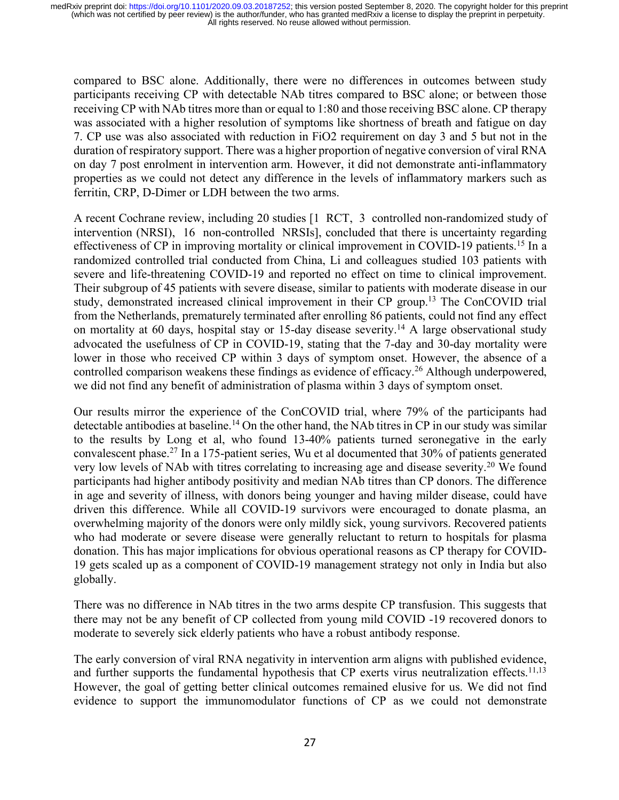compared to BSC alone. Additionally, there were no differences in outcomes between study participants receiving CP with detectable NAb titres compared to BSC alone; or between those receiving CP with NAb titres more than or equal to 1:80 and those receiving BSC alone. CP therapy was associated with a higher resolution of symptoms like shortness of breath and fatigue on day 7. CP use was also associated with reduction in FiO2 requirement on day 3 and 5 but not in the duration of respiratory support. There was a higher proportion of negative conversion of viral RNA on day 7 post enrolment in intervention arm. However, it did not demonstrate anti-inflammatory properties as we could not detect any difference in the levels of inflammatory markers such as ferritin, CRP, D-Dimer or LDH between the two arms.

A recent Cochrane review, including 20 studies [1 RCT, 3 controlled non-randomized study of intervention (NRSI), 16 non-controlled NRSIs], concluded that there is uncertainty regarding effectiveness of CP in improving mortality or clinical improvement in COVID-19 patients.<sup>15</sup> In a randomized controlled trial conducted from China, Li and colleagues studied 103 patients with severe and life-threatening COVID-19 and reported no effect on time to clinical improvement. Their subgroup of 45 patients with severe disease, similar to patients with moderate disease in our study, demonstrated increased clinical improvement in their CP group.13 The ConCOVID trial from the Netherlands, prematurely terminated after enrolling 86 patients, could not find any effect on mortality at 60 days, hospital stay or 15-day disease severity.<sup>14</sup> A large observational study advocated the usefulness of CP in COVID-19, stating that the 7-day and 30-day mortality were lower in those who received CP within 3 days of symptom onset. However, the absence of a controlled comparison weakens these findings as evidence of efficacy.<sup>26</sup> Although underpowered, we did not find any benefit of administration of plasma within 3 days of symptom onset.

Our results mirror the experience of the ConCOVID trial, where 79% of the participants had detectable antibodies at baseline. <sup>14</sup> On the other hand, the NAb titres in CP in our study was similar to the results by Long et al, who found 13-40% patients turned seronegative in the early convalescent phase.27 In a 175-patient series, Wu et al documented that 30% of patients generated very low levels of NAb with titres correlating to increasing age and disease severity.<sup>20</sup> We found participants had higher antibody positivity and median NAb titres than CP donors. The difference in age and severity of illness, with donors being younger and having milder disease, could have driven this difference. While all COVID-19 survivors were encouraged to donate plasma, an overwhelming majority of the donors were only mildly sick, young survivors. Recovered patients who had moderate or severe disease were generally reluctant to return to hospitals for plasma donation. This has major implications for obvious operational reasons as CP therapy for COVID-19 gets scaled up as a component of COVID-19 management strategy not only in India but also globally.

There was no difference in NAb titres in the two arms despite CP transfusion. This suggests that there may not be any benefit of CP collected from young mild COVID -19 recovered donors to moderate to severely sick elderly patients who have a robust antibody response.

The early conversion of viral RNA negativity in intervention arm aligns with published evidence, and further supports the fundamental hypothesis that CP exerts virus neutralization effects.<sup>11,13</sup> However, the goal of getting better clinical outcomes remained elusive for us. We did not find evidence to support the immunomodulator functions of CP as we could not demonstrate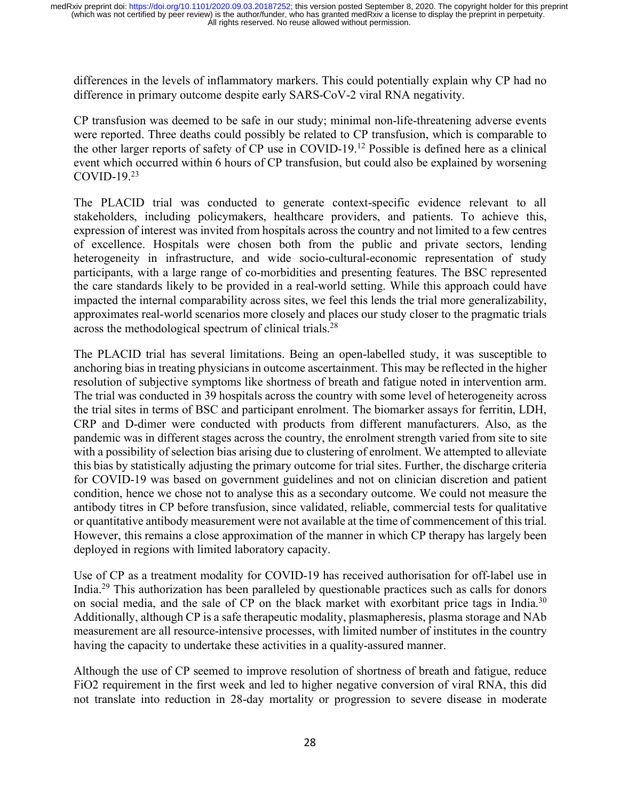differences in the levels of inflammatory markers. This could potentially explain why CP had no difference in primary outcome despite early SARS-CoV-2 viral RNA negativity.

CP transfusion was deemed to be safe in our study; minimal non-life-threatening adverse events were reported. Three deaths could possibly be related to CP transfusion, which is comparable to the other larger reports of safety of CP use in COVID-19.12 Possible is defined here as a clinical event which occurred within 6 hours of CP transfusion, but could also be explained by worsening COVID-19. $23$ 

The PLACID trial was conducted to generate context-specific evidence relevant to all stakeholders, including policymakers, healthcare providers, and patients. To achieve this, expression of interest was invited from hospitals across the country and not limited to a few centres of excellence. Hospitals were chosen both from the public and private sectors, lending heterogeneity in infrastructure, and wide socio-cultural-economic representation of study participants, with a large range of co-morbidities and presenting features. The BSC represented the care standards likely to be provided in a real-world setting. While this approach could have impacted the internal comparability across sites, we feel this lends the trial more generalizability, approximates real-world scenarios more closely and places our study closer to the pragmatic trials across the methodological spectrum of clinical trials.<sup>28</sup>

The PLACID trial has several limitations. Being an open-labelled study, it was susceptible to anchoring bias in treating physicians in outcome ascertainment. This may be reflected in the higher resolution of subjective symptoms like shortness of breath and fatigue noted in intervention arm. The trial was conducted in 39 hospitals across the country with some level of heterogeneity across the trial sites in terms of BSC and participant enrolment. The biomarker assays for ferritin, LDH, CRP and D-dimer were conducted with products from different manufacturers. Also, as the pandemic was in different stages across the country, the enrolment strength varied from site to site with a possibility of selection bias arising due to clustering of enrolment. We attempted to alleviate this bias by statistically adjusting the primary outcome for trial sites. Further, the discharge criteria for COVID-19 was based on government guidelines and not on clinician discretion and patient condition, hence we chose not to analyse this as a secondary outcome. We could not measure the antibody titres in CP before transfusion, since validated, reliable, commercial tests for qualitative or quantitative antibody measurement were not available at the time of commencement of this trial. However, this remains a close approximation of the manner in which CP therapy has largely been deployed in regions with limited laboratory capacity.

Use of CP as a treatment modality for COVID-19 has received authorisation for off-label use in India.29 This authorization has been paralleled by questionable practices such as calls for donors on social media, and the sale of CP on the black market with exorbitant price tags in India.<sup>30</sup> Additionally, although CP is a safe therapeutic modality, plasmapheresis, plasma storage and NAb measurement are all resource-intensive processes, with limited number of institutes in the country having the capacity to undertake these activities in a quality-assured manner.

Although the use of CP seemed to improve resolution of shortness of breath and fatigue, reduce FiO2 requirement in the first week and led to higher negative conversion of viral RNA, this did not translate into reduction in 28-day mortality or progression to severe disease in moderate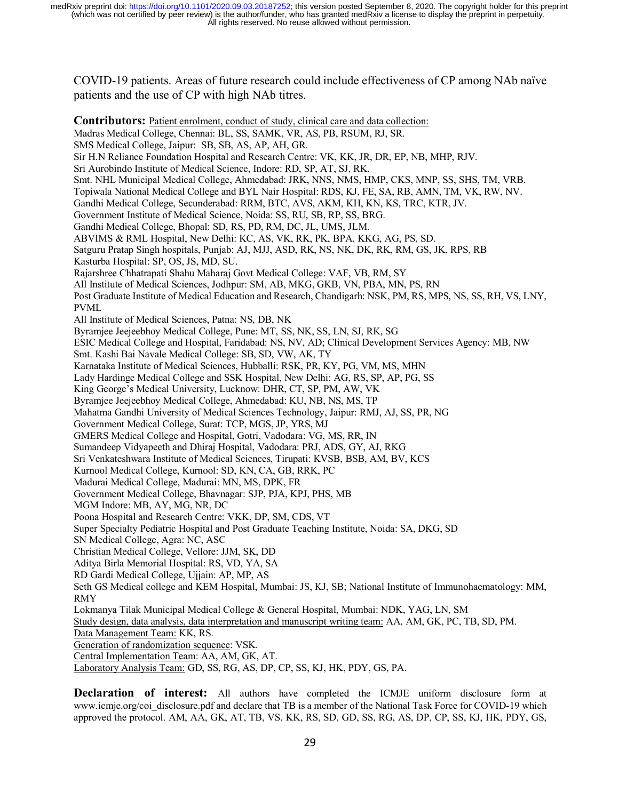COVID-19 patients. Areas of future research could include effectiveness of CP among NAb naïve patients and the use of CP with high NAb titres.

**Contributors:** Patient enrolment, conduct of study, clinical care and data collection: Madras Medical College, Chennai: BL, SS, SAMK, VR, AS, PB, RSUM, RJ, SR. SMS Medical College, Jaipur: SB, SB, AS, AP, AH, GR. Sir H.N Reliance Foundation Hospital and Research Centre: VK, KK, JR, DR, EP, NB, MHP, RJV. Sri Aurobindo Institute of Medical Science, Indore: RD, SP, AT, SJ, RK. Smt. NHL Municipal Medical College, Ahmedabad: JRK, NNS, NMS, HMP, CKS, MNP, SS, SHS, TM, VRB. Topiwala National Medical College and BYL Nair Hospital: RDS, KJ, FE, SA, RB, AMN, TM, VK, RW, NV. Gandhi Medical College, Secunderabad: RRM, BTC, AVS, AKM, KH, KN, KS, TRC, KTR, JV. Government Institute of Medical Science, Noida: SS, RU, SB, RP, SS, BRG. Gandhi Medical College, Bhopal: SD, RS, PD, RM, DC, JL, UMS, JLM. ABVIMS & RML Hospital, New Delhi: KC, AS, VK, RK, PK, BPA, KKG, AG, PS, SD. Satguru Pratap Singh hospitals, Punjab: AJ, MJJ, ASD, RK, NS, NK, DK, RK, RM, GS, JK, RPS, RB Kasturba Hospital: SP, OS, JS, MD, SU. Rajarshree Chhatrapati Shahu Maharaj Govt Medical College: VAF, VB, RM, SY All Institute of Medical Sciences, Jodhpur: SM, AB, MKG, GKB, VN, PBA, MN, PS, RN Post Graduate Institute of Medical Education and Research, Chandigarh: NSK, PM, RS, MPS, NS, SS, RH, VS, LNY, PVML All Institute of Medical Sciences, Patna: NS, DB, NK Byramjee Jeejeebhoy Medical College, Pune: MT, SS, NK, SS, LN, SJ, RK, SG ESIC Medical College and Hospital, Faridabad: NS, NV, AD; Clinical Development Services Agency: MB, NW Smt. Kashi Bai Navale Medical College: SB, SD, VW, AK, TY Karnataka Institute of Medical Sciences, Hubballi: RSK, PR, KY, PG, VM, MS, MHN Lady Hardinge Medical College and SSK Hospital, New Delhi: AG, RS, SP, AP, PG, SS King George's Medical University, Lucknow: DHR, CT, SP, PM, AW, VK Byramjee Jeejeebhoy Medical College, Ahmedabad: KU, NB, NS, MS, TP Mahatma Gandhi University of Medical Sciences Technology, Jaipur: RMJ, AJ, SS, PR, NG Government Medical College, Surat: TCP, MGS, JP, YRS, MJ GMERS Medical College and Hospital, Gotri, Vadodara: VG, MS, RR, IN Sumandeep Vidyapeeth and Dhiraj Hospital, Vadodara: PRJ, ADS, GY, AJ, RKG Sri Venkateshwara Institute of Medical Sciences, Tirupati: KVSB, BSB, AM, BV, KCS Kurnool Medical College, Kurnool: SD, KN, CA, GB, RRK, PC Madurai Medical College, Madurai: MN, MS, DPK, FR Government Medical College, Bhavnagar: SJP, PJA, KPJ, PHS, MB MGM Indore: MB, AY, MG, NR, DC Poona Hospital and Research Centre: VKK, DP, SM, CDS, VT Super Specialty Pediatric Hospital and Post Graduate Teaching Institute, Noida: SA, DKG, SD SN Medical College, Agra: NC, ASC Christian Medical College, Vellore: JJM, SK, DD Aditya Birla Memorial Hospital: RS, VD, YA, SA RD Gardi Medical College, Ujjain: AP, MP, AS Seth GS Medical college and KEM Hospital, Mumbai: JS, KJ, SB; National Institute of Immunohaematology: MM, RMY Lokmanya Tilak Municipal Medical College & General Hospital, Mumbai: NDK, YAG, LN, SM Study design, data analysis, data interpretation and manuscript writing team: AA, AM, GK, PC, TB, SD, PM. Data Management Team: KK, RS. Generation of randomization sequence: VSK. Central Implementation Team: AA, AM, GK, AT. Laboratory Analysis Team: GD, SS, RG, AS, DP, CP, SS, KJ, HK, PDY, GS, PA.

**Declaration of interest:** All authors have completed the ICMJE uniform disclosure form at www.icmje.org/coi\_disclosure.pdf and declare that TB is a member of the National Task Force for COVID-19 which approved the protocol. AM, AA, GK, AT, TB, VS, KK, RS, SD, GD, SS, RG, AS, DP, CP, SS, KJ, HK, PDY, GS,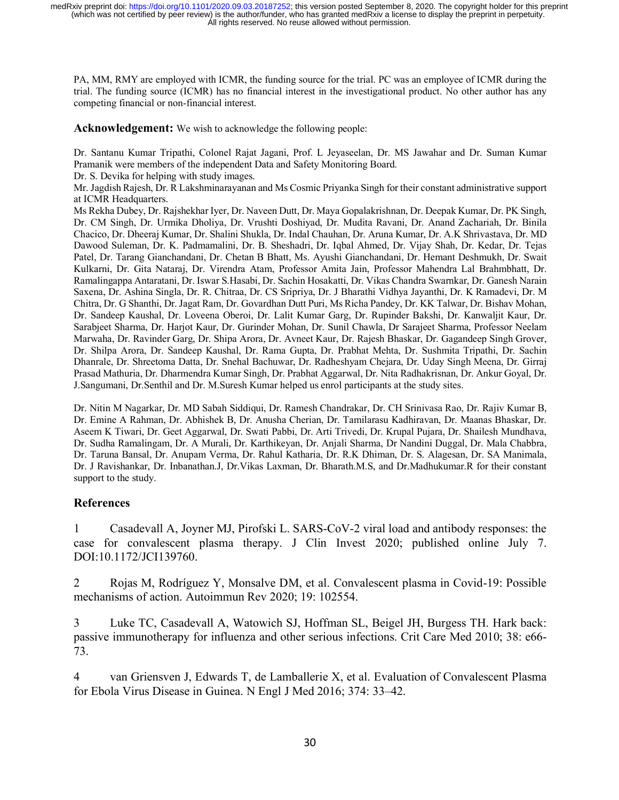PA, MM, RMY are employed with ICMR, the funding source for the trial. PC was an employee of ICMR during the trial. The funding source (ICMR) has no financial interest in the investigational product. No other author has any competing financial or non-financial interest.

**Acknowledgement:** We wish to acknowledge the following people:

Dr. Santanu Kumar Tripathi, Colonel Rajat Jagani, Prof. L Jeyaseelan, Dr. MS Jawahar and Dr. Suman Kumar Pramanik were members of the independent Data and Safety Monitoring Board.

Dr. S. Devika for helping with study images.

Mr. Jagdish Rajesh, Dr. R Lakshminarayanan and Ms Cosmic Priyanka Singh for their constant administrative support at ICMR Headquarters.

Ms Rekha Dubey, Dr. Rajshekhar Iyer, Dr. Naveen Dutt, Dr. Maya Gopalakrishnan, Dr. Deepak Kumar, Dr. PK Singh, Dr. CM Singh, Dr. Urmika Dholiya, Dr. Vrushti Doshiyad, Dr. Mudita Ravani, Dr. Anand Zachariah, Dr. Binila Chacico, Dr. Dheeraj Kumar, Dr. Shalini Shukla, Dr. Indal Chauhan, Dr. Aruna Kumar, Dr. A.K Shrivastava, Dr. MD Dawood Suleman, Dr. K. Padmamalini, Dr. B. Sheshadri, Dr. Iqbal Ahmed, Dr. Vijay Shah, Dr. Kedar, Dr. Tejas Patel, Dr. Tarang Gianchandani, Dr. Chetan B Bhatt, Ms. Ayushi Gianchandani, Dr. Hemant Deshmukh, Dr. Swait Kulkarni, Dr. Gita Nataraj, Dr. Virendra Atam, Professor Amita Jain, Professor Mahendra Lal Brahmbhatt, Dr. Ramalingappa Antaratani, Dr. Iswar S.Hasabi, Dr. Sachin Hosakatti, Dr. Vikas Chandra Swarnkar, Dr. Ganesh Narain Saxena, Dr. Ashina Singla, Dr. R. Chitraa, Dr. CS Sripriya, Dr. J Bharathi Vidhya Jayanthi, Dr. K Ramadevi, Dr. M Chitra, Dr. G Shanthi, Dr. Jagat Ram, Dr. Govardhan Dutt Puri, Ms Richa Pandey, Dr. KK Talwar, Dr. Bishav Mohan, Dr. Sandeep Kaushal, Dr. Loveena Oberoi, Dr. Lalit Kumar Garg, Dr. Rupinder Bakshi, Dr. Kanwaljit Kaur, Dr. Sarabjeet Sharma, Dr. Harjot Kaur, Dr. Gurinder Mohan, Dr. Sunil Chawla, Dr Sarajeet Sharma, Professor Neelam Marwaha, Dr. Ravinder Garg, Dr. Shipa Arora, Dr. Avneet Kaur, Dr. Rajesh Bhaskar, Dr. Gagandeep Singh Grover, Dr. Shilpa Arora, Dr. Sandeep Kaushal, Dr. Rama Gupta, Dr. Prabhat Mehta, Dr. Sushmita Tripathi, Dr. Sachin Dhanrale, Dr. Shreetoma Datta, Dr. Snehal Bachuwar, Dr. Radheshyam Chejara, Dr. Uday Singh Meena, Dr. Girraj Prasad Mathuria, Dr. Dharmendra Kumar Singh, Dr. Prabhat Aggarwal, Dr. Nita Radhakrisnan, Dr. Ankur Goyal, Dr. J.Sangumani, Dr.Senthil and Dr. M.Suresh Kumar helped us enrol participants at the study sites.

Dr. Nitin M Nagarkar, Dr. MD Sabah Siddiqui, Dr. Ramesh Chandrakar, Dr. CH Srinivasa Rao, Dr. Rajiv Kumar B, Dr. Emine A Rahman, Dr. Abhishek B, Dr. Anusha Cherian, Dr. Tamilarasu Kadhiravan, Dr. Maanas Bhaskar, Dr. Aseem K Tiwari, Dr. Geet Aggarwal, Dr. Swati Pabbi, Dr. Arti Trivedi, Dr. Krupal Pujara, Dr. Shailesh Mundhava, Dr. Sudha Ramalingam, Dr. A Murali, Dr. Karthikeyan, Dr. Anjali Sharma, Dr Nandini Duggal, Dr. Mala Chabbra, Dr. Taruna Bansal, Dr. Anupam Verma, Dr. Rahul Katharia, Dr. R.K Dhiman, Dr. S. Alagesan, Dr. SA Manimala, Dr. J Ravishankar, Dr. Inbanathan.J, Dr.Vikas Laxman, Dr. Bharath.M.S, and Dr.Madhukumar.R for their constant support to the study.

#### **References**

1 Casadevall A, Joyner MJ, Pirofski L. SARS-CoV-2 viral load and antibody responses: the case for convalescent plasma therapy. J Clin Invest 2020; published online July 7. DOI:10.1172/JCI139760.

2 Rojas M, Rodríguez Y, Monsalve DM, et al. Convalescent plasma in Covid-19: Possible mechanisms of action. Autoimmun Rev 2020; 19: 102554.

3 Luke TC, Casadevall A, Watowich SJ, Hoffman SL, Beigel JH, Burgess TH. Hark back: passive immunotherapy for influenza and other serious infections. Crit Care Med 2010; 38: e66- 73.

4 van Griensven J, Edwards T, de Lamballerie X, et al. Evaluation of Convalescent Plasma for Ebola Virus Disease in Guinea. N Engl J Med 2016; 374: 33–42.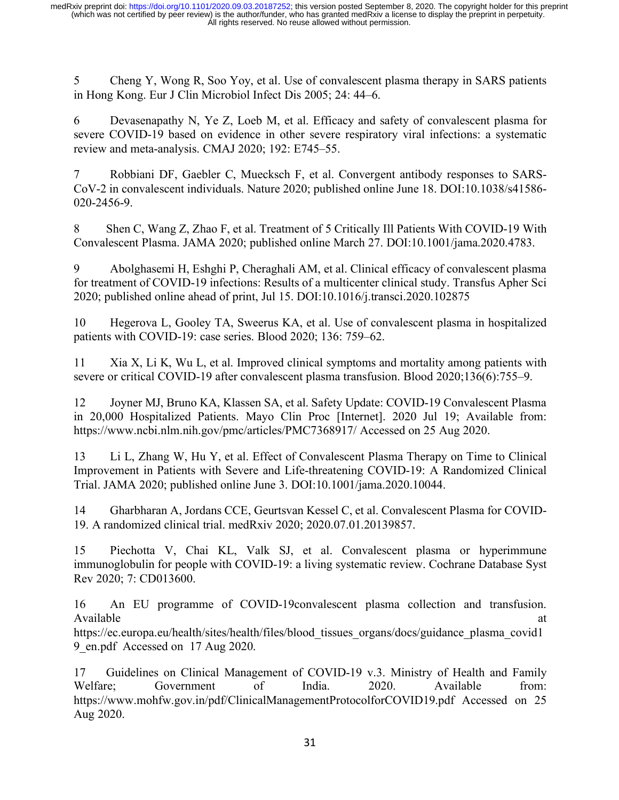5 Cheng Y, Wong R, Soo Yoy, et al. Use of convalescent plasma therapy in SARS patients in Hong Kong. Eur J Clin Microbiol Infect Dis 2005; 24: 44–6.

6 Devasenapathy N, Ye Z, Loeb M, et al. Efficacy and safety of convalescent plasma for severe COVID-19 based on evidence in other severe respiratory viral infections: a systematic review and meta-analysis. CMAJ 2020; 192: E745–55.

7 Robbiani DF, Gaebler C, Muecksch F, et al. Convergent antibody responses to SARS-CoV-2 in convalescent individuals. Nature 2020; published online June 18. DOI:10.1038/s41586- 020-2456-9.

8 Shen C, Wang Z, Zhao F, et al. Treatment of 5 Critically Ill Patients With COVID-19 With Convalescent Plasma. JAMA 2020; published online March 27. DOI:10.1001/jama.2020.4783.

9 Abolghasemi H, Eshghi P, Cheraghali AM, et al. Clinical efficacy of convalescent plasma for treatment of COVID-19 infections: Results of a multicenter clinical study. Transfus Apher Sci 2020; published online ahead of print, Jul 15. DOI:10.1016/j.transci.2020.102875

10 Hegerova L, Gooley TA, Sweerus KA, et al. Use of convalescent plasma in hospitalized patients with COVID-19: case series. Blood 2020; 136: 759–62.

11 Xia X, Li K, Wu L, et al. Improved clinical symptoms and mortality among patients with severe or critical COVID-19 after convalescent plasma transfusion. Blood 2020;136(6):755–9.

12 Joyner MJ, Bruno KA, Klassen SA, et al. Safety Update: COVID-19 Convalescent Plasma in 20,000 Hospitalized Patients. Mayo Clin Proc [Internet]. 2020 Jul 19; Available from: https://www.ncbi.nlm.nih.gov/pmc/articles/PMC7368917/ Accessed on 25 Aug 2020.

13 Li L, Zhang W, Hu Y, et al. Effect of Convalescent Plasma Therapy on Time to Clinical Improvement in Patients with Severe and Life-threatening COVID-19: A Randomized Clinical Trial. JAMA 2020; published online June 3. DOI:10.1001/jama.2020.10044.

14 Gharbharan A, Jordans CCE, Geurtsvan Kessel C, et al. Convalescent Plasma for COVID-19. A randomized clinical trial. medRxiv 2020; 2020.07.01.20139857.

15 Piechotta V, Chai KL, Valk SJ, et al. Convalescent plasma or hyperimmune immunoglobulin for people with COVID-19: a living systematic review. Cochrane Database Syst Rev 2020; 7: CD013600.

16 An EU programme of COVID-19convalescent plasma collection and transfusion. Available at a state of  $\alpha$  at a state of  $\alpha$  at a state of  $\alpha$  at a state of  $\alpha$  at a state of  $\alpha$  at a state of  $\alpha$  at a state of  $\alpha$  at a state of  $\alpha$  at a state of  $\alpha$  at a state of  $\alpha$  at a state of  $\alpha$  at https://ec.europa.eu/health/sites/health/files/blood\_tissues\_organs/docs/guidance\_plasma\_covid1 9\_en.pdf Accessed on 17 Aug 2020.

17 Guidelines on Clinical Management of COVID-19 v.3. Ministry of Health and Family Welfare; Government of India. 2020. Available from: https://www.mohfw.gov.in/pdf/ClinicalManagementProtocolforCOVID19.pdf Accessed on 25 Aug 2020.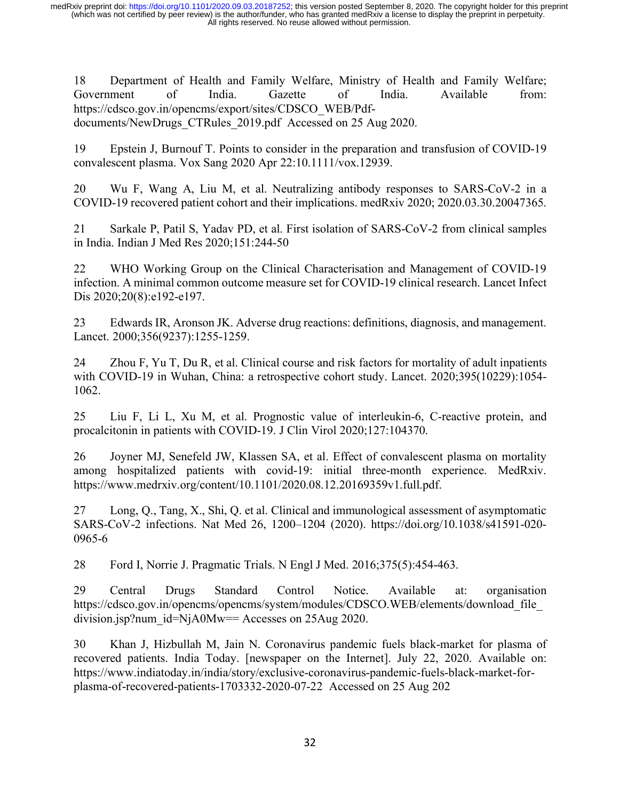18 Department of Health and Family Welfare, Ministry of Health and Family Welfare; Government of India. Gazette of India. Available from: https://cdsco.gov.in/opencms/export/sites/CDSCO\_WEB/Pdfdocuments/NewDrugs\_CTRules\_2019.pdf Accessed on 25 Aug 2020.

19 Epstein J, Burnouf T. Points to consider in the preparation and transfusion of COVID-19 convalescent plasma. Vox Sang 2020 Apr 22:10.1111/vox.12939.

20 Wu F, Wang A, Liu M, et al. Neutralizing antibody responses to SARS-CoV-2 in a COVID-19 recovered patient cohort and their implications. medRxiv 2020; 2020.03.30.20047365.

21 Sarkale P, Patil S, Yadav PD, et al. First isolation of SARS-CoV-2 from clinical samples in India. Indian J Med Res 2020;151:244-50

22 WHO Working Group on the Clinical Characterisation and Management of COVID-19 infection. A minimal common outcome measure set for COVID-19 clinical research. Lancet Infect Dis 2020;20(8):e192-e197.

23 Edwards IR, Aronson JK. Adverse drug reactions: definitions, diagnosis, and management. Lancet. 2000;356(9237):1255-1259.

24 Zhou F, Yu T, Du R, et al. Clinical course and risk factors for mortality of adult inpatients with COVID-19 in Wuhan, China: a retrospective cohort study. Lancet. 2020;395(10229):1054- 1062.

25 Liu F, Li L, Xu M, et al. Prognostic value of interleukin-6, C-reactive protein, and procalcitonin in patients with COVID-19. J Clin Virol 2020;127:104370.

26 Joyner MJ, Senefeld JW, Klassen SA, et al. Effect of convalescent plasma on mortality among hospitalized patients with covid-19: initial three-month experience. MedRxiv. https://www.medrxiv.org/content/10.1101/2020.08.12.20169359v1.full.pdf.

27 Long, Q., Tang, X., Shi, Q. et al. Clinical and immunological assessment of asymptomatic SARS-CoV-2 infections. Nat Med 26, 1200–1204 (2020). https://doi.org/10.1038/s41591-020- 0965-6

28 Ford I, Norrie J. Pragmatic Trials. N Engl J Med. 2016;375(5):454-463.

29 Central Drugs Standard Control Notice. Available at: organisation https://cdsco.gov.in/opencms/opencms/system/modules/CDSCO.WEB/elements/download\_file\_ division.jsp?num\_id=NjA0Mw== Accesses on 25Aug 2020.

30 Khan J, Hizbullah M, Jain N. Coronavirus pandemic fuels black-market for plasma of recovered patients. India Today. [newspaper on the Internet]. July 22, 2020. Available on: https://www.indiatoday.in/india/story/exclusive-coronavirus-pandemic-fuels-black-market-forplasma-of-recovered-patients-1703332-2020-07-22 Accessed on 25 Aug 202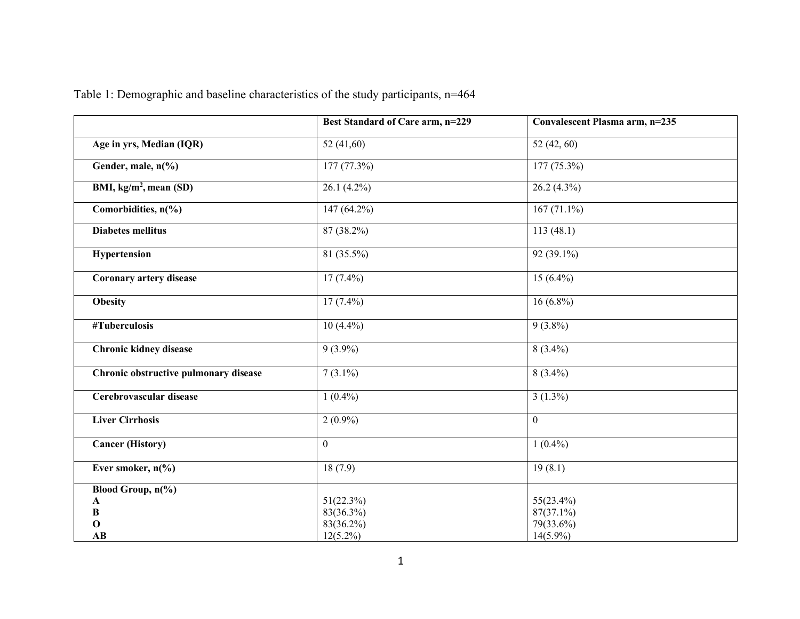|                                       | Best Standard of Care arm, n=229 | Convalescent Plasma arm, n=235 |
|---------------------------------------|----------------------------------|--------------------------------|
| Age in yrs, Median (IQR)              | 52 $(41,60)$                     | 52 (42, 60)                    |
| Gender, male, n(%)                    | 177(77.3%)                       | $177(75.3\%)$                  |
| BMI, $kg/m2$ , mean (SD)              | $26.1(4.2\%)$                    | $26.2(4.3\%)$                  |
| Comorbidities, $n\frac{6}{6}$         | $147(64.2\%)$                    | $167(71.1\%)$                  |
| <b>Diabetes mellitus</b>              | 87 (38.2%)                       | 113(48.1)                      |
| Hypertension                          | $81(35.5\%)$                     | $92(39.1\%)$                   |
| <b>Coronary artery disease</b>        | $17(7.4\%)$                      | $15(6.4\%)$                    |
| <b>Obesity</b>                        | $17(7.4\%)$                      | $16(6.8\%)$                    |
| #Tuberculosis                         | $10(4.4\%)$                      | $9(3.8\%)$                     |
| <b>Chronic kidney disease</b>         | $9(3.9\%)$                       | $8(3.4\%)$                     |
| Chronic obstructive pulmonary disease | $7(3.1\%)$                       | $8(3.4\%)$                     |
| Cerebrovascular disease               | $1(0.4\%)$                       | $3(1.3\%)$                     |
| <b>Liver Cirrhosis</b>                | $2(0.9\%)$                       | $\overline{0}$                 |
| <b>Cancer (History)</b>               | $\mathbf{0}$                     | $1(0.4\%)$                     |
| Ever smoker, $n\frac{6}{6}$           | 18(7.9)                          | 19(8.1)                        |
| Blood Group, $n\frac{6}{6}$           |                                  |                                |
| A                                     | 51(22.3%)                        | 55(23.4%)                      |
| B                                     | 83(36.3%)                        | 87(37.1%)                      |
| $\mathbf 0$                           | 83(36.2%)                        | 79(33.6%)                      |
| AB                                    | $12(5.2\%)$                      | $14(5.9\%)$                    |

Table 1: Demographic and baseline characteristics of the study participants, n=464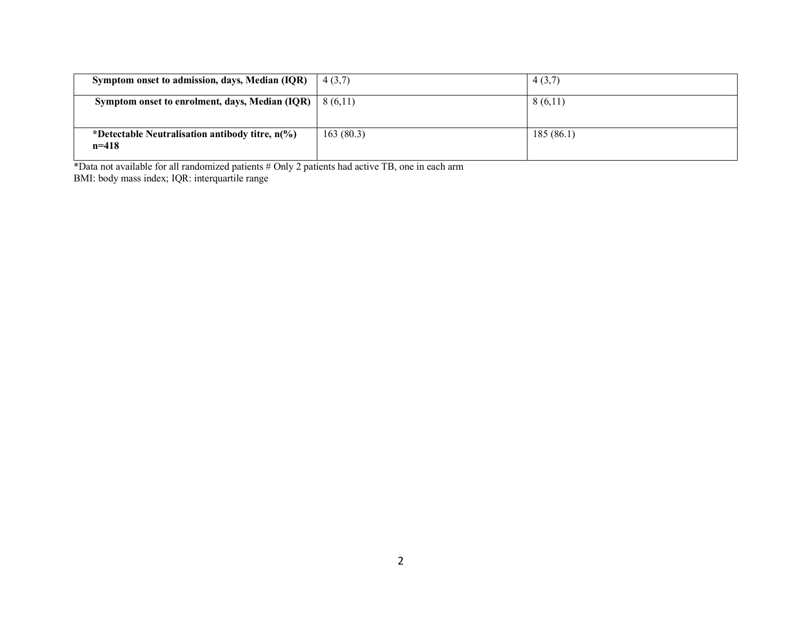| Symptom onset to admission, days, Median (IQR)                       | 4(3,7)    | 4(3,7)    |
|----------------------------------------------------------------------|-----------|-----------|
| Symptom onset to enrolment, days, Median (IQR) $\mid$ 8 (6,11)       |           | 8(6,11)   |
| *Detectable Neutralisation antibody titre, $n\frac{6}{6}$<br>$n=418$ | 163(80.3) | 185(86.1) |

\*Data not available for all randomized patients # Only 2 patients had active TB, one in each arm BMI: body mass index; IQR: interquartile range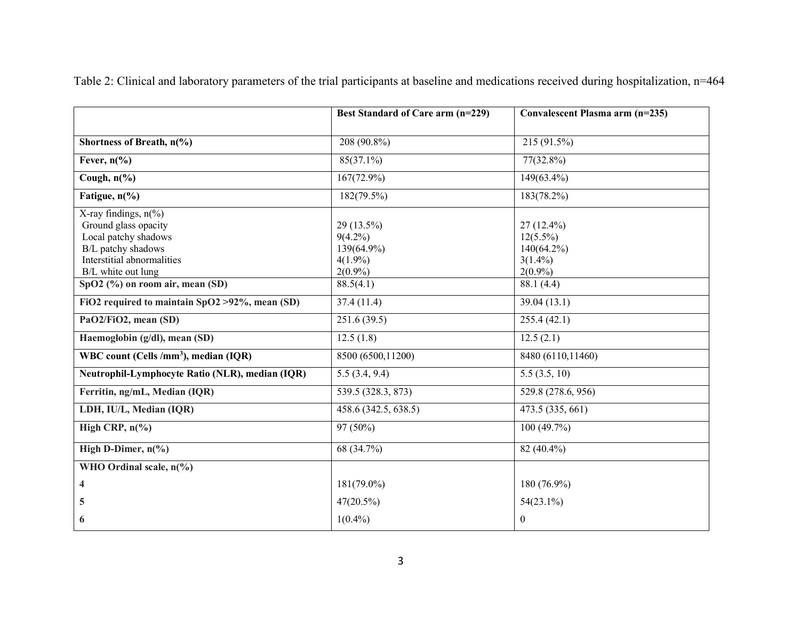|                                                                                                                                                          | Best Standard of Care arm (n=229)                                  | Convalescent Plasma arm (n=235)                                       |
|----------------------------------------------------------------------------------------------------------------------------------------------------------|--------------------------------------------------------------------|-----------------------------------------------------------------------|
| Shortness of Breath, n(%)                                                                                                                                | 208 (90.8%)                                                        | 215 (91.5%)                                                           |
| Fever, $n\frac{6}{6}$                                                                                                                                    | $85(37.1\%)$                                                       | $77(32.8\%)$                                                          |
| Cough, $n\frac{6}{6}$                                                                                                                                    | $167(72.9\%)$                                                      | 149(63.4%)                                                            |
| Fatigue, $n\frac{6}{6}$                                                                                                                                  | $182(79.5\%)$                                                      | $183(78.2\%)$                                                         |
| X-ray findings, $n\frac{6}{6}$<br>Ground glass opacity<br>Local patchy shadows<br>B/L patchy shadows<br>Interstitial abnormalities<br>B/L white out lung | 29 (13.5%)<br>$9(4.2\%)$<br>139(64.9%)<br>$4(1.9\%)$<br>$2(0.9\%)$ | $27(12.4\%)$<br>$12(5.5\%)$<br>140(64.2%)<br>$3(1.4\%)$<br>$2(0.9\%)$ |
| $SpO2$ (%) on room air, mean (SD)                                                                                                                        | 88.5(4.1)                                                          | 88.1(4.4)                                                             |
| FiO2 required to maintain SpO2 > 92%, mean (SD)                                                                                                          | 37.4(11.4)                                                         | 39.04(13.1)                                                           |
| PaO2/FiO2, mean (SD)                                                                                                                                     | 251.6(39.5)                                                        | 255.4(42.1)                                                           |
| Haemoglobin (g/dl), mean (SD)                                                                                                                            | 12.5(1.8)                                                          | 12.5(2.1)                                                             |
| WBC count (Cells /mm <sup>3</sup> ), median (IQR)                                                                                                        | 8500 (6500,11200)                                                  | 8480 (6110,11460)                                                     |
| Neutrophil-Lymphocyte Ratio (NLR), median (IQR)                                                                                                          | 5.5(3.4, 9.4)                                                      | 5.5(3.5, 10)                                                          |
| Ferritin, ng/mL, Median (IQR)                                                                                                                            | 539.5 (328.3, 873)                                                 | 529.8 (278.6, 956)                                                    |
| LDH, IU/L, Median (IQR)                                                                                                                                  | 458.6 (342.5, 638.5)                                               | 473.5 (335, 661)                                                      |
| High CRP, $n\frac{6}{6}$                                                                                                                                 | $97(50\%)$                                                         | 100(49.7%)                                                            |
| High D-Dimer, $n\frac{6}{6}$                                                                                                                             | 68 (34.7%)                                                         | 82 (40.4%)                                                            |
| WHO Ordinal scale, $n\frac{6}{6}$                                                                                                                        |                                                                    |                                                                       |
| 4                                                                                                                                                        | $181(79.0\%)$                                                      | 180 (76.9%)                                                           |
| 5                                                                                                                                                        | $47(20.5\%)$                                                       | $54(23.1\%)$                                                          |
| 6                                                                                                                                                        | $1(0.4\%)$                                                         | $\boldsymbol{0}$                                                      |

Table 2: Clinical and laboratory parameters of the trial participants at baseline and medications received during hospitalization, n=464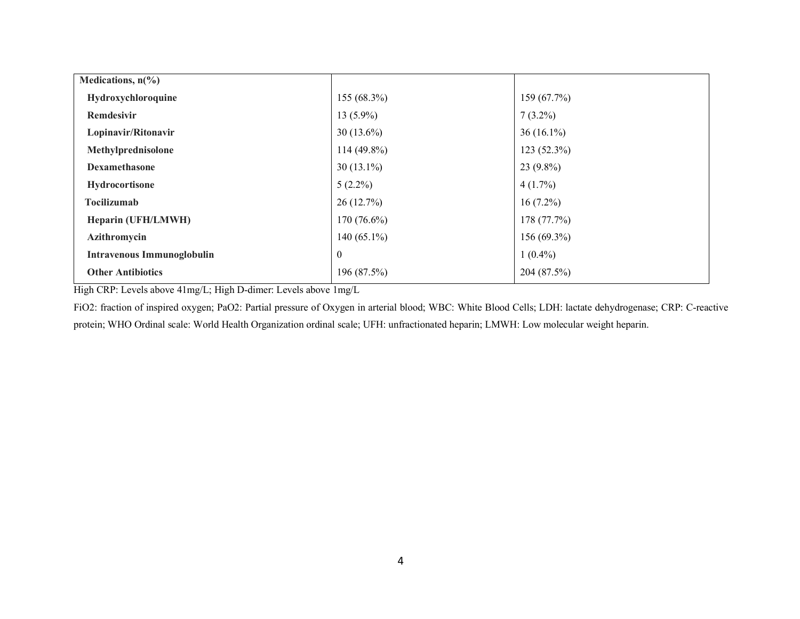| Medications, $n\frac{6}{6}$       |                |              |
|-----------------------------------|----------------|--------------|
| Hydroxychloroquine                | $155(68.3\%)$  | 159 (67.7%)  |
| <b>Remdesivir</b>                 | $13(5.9\%)$    | $7(3.2\%)$   |
| Lopinavir/Ritonavir               | $30(13.6\%)$   | $36(16.1\%)$ |
| Methylprednisolone                | $114(49.8\%)$  | 123 (52.3%)  |
| <b>Dexamethasone</b>              | $30(13.1\%)$   | $23(9.8\%)$  |
| Hydrocortisone                    | $5(2.2\%)$     | $4(1.7\%)$   |
| <b>Tocilizumab</b>                | 26(12.7%)      | $16(7.2\%)$  |
| Heparin (UFH/LMWH)                | $170(76.6\%)$  | 178 (77.7%)  |
| Azithromycin                      | 140 $(65.1\%)$ | 156 (69.3%)  |
| <b>Intravenous Immunoglobulin</b> | $\theta$       | $1(0.4\%)$   |
| <b>Other Antibiotics</b>          | 196 (87.5%)    | 204 (87.5%)  |

High CRP: Levels above 41mg/L; High D-dimer: Levels above 1mg/L

FiO2: fraction of inspired oxygen; PaO2: Partial pressure of Oxygen in arterial blood; WBC: White Blood Cells; LDH: lactate dehydrogenase; CRP: C-reactive protein; WHO Ordinal scale: World Health Organization ordinal scale; UFH: unfractionated heparin; LMWH: Low molecular weight heparin.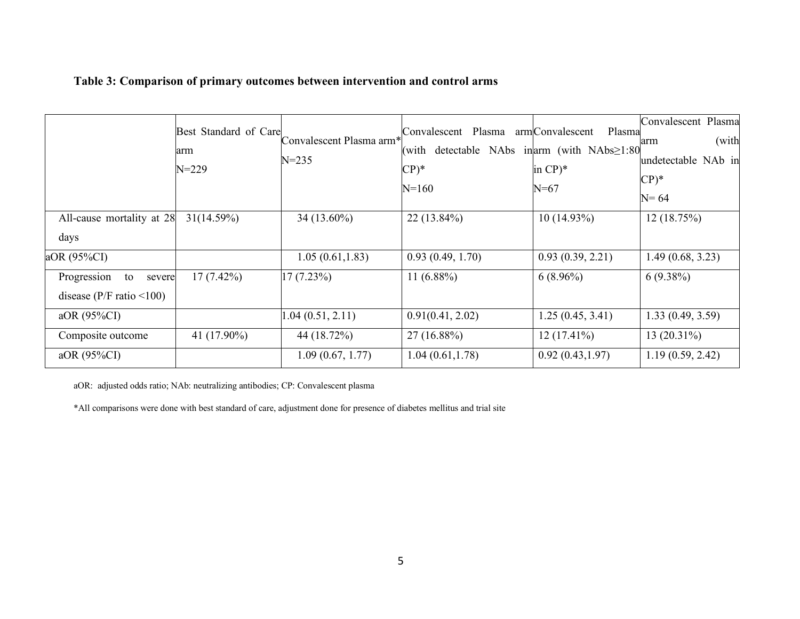# **Table 3: Comparison of primary outcomes between intervention and control arms**

|                             | Best Standard of Care<br>arm<br>$N = 229$ | Convalescent Plasma arm*<br>$N = 235$ | Convalescent Plasma<br>(with<br>$CP)$ *<br>$N = 160$ | armConvalescent<br>Plasma<br>detectable NAbs in $arm$ (with NAbs $\geq$ 1:80<br>in $CP$ <sup>*</sup><br>$N=67$ | Convalescent Plasma<br>(with<br>arm<br>undetectable NAb in<br>$CP)*$<br>$N = 64$ |
|-----------------------------|-------------------------------------------|---------------------------------------|------------------------------------------------------|----------------------------------------------------------------------------------------------------------------|----------------------------------------------------------------------------------|
| All-cause mortality at 28   | 31(14.59%)                                | $34(13.60\%)$                         | $22(13.84\%)$                                        | $10(14.93\%)$                                                                                                  | 12(18.75%)                                                                       |
| days                        |                                           |                                       |                                                      |                                                                                                                |                                                                                  |
| aOR (95%CI)                 |                                           | 1.05(0.61, 1.83)                      | 0.93(0.49, 1.70)                                     | 0.93(0.39, 2.21)                                                                                               | 1.49(0.68, 3.23)                                                                 |
| Progression<br>to<br>severe | $17(7.42\%)$                              | 17(7.23%)                             | 11 $(6.88\%)$                                        | $6(8.96\%)$                                                                                                    | $6(9.38\%)$                                                                      |
| disease ( $P/F$ ratio <100) |                                           |                                       |                                                      |                                                                                                                |                                                                                  |
| aOR (95%CI)                 |                                           | 1.04(0.51, 2.11)                      | 0.91(0.41, 2.02)                                     | 1.25(0.45, 3.41)                                                                                               | 1.33(0.49, 3.59)                                                                 |
| Composite outcome           | 41 (17.90%)                               | 44 (18.72%)                           | $27(16.88\%)$                                        | $12(17.41\%)$                                                                                                  | $13(20.31\%)$                                                                    |
| aOR (95%CI)                 |                                           | 1.09(0.67, 1.77)                      | 1.04(0.61, 1.78)                                     | 0.92(0.43, 1.97)                                                                                               | 1.19(0.59, 2.42)                                                                 |

aOR: adjusted odds ratio; NAb: neutralizing antibodies; CP: Convalescent plasma

\*All comparisons were done with best standard of care, adjustment done for presence of diabetes mellitus and trial site